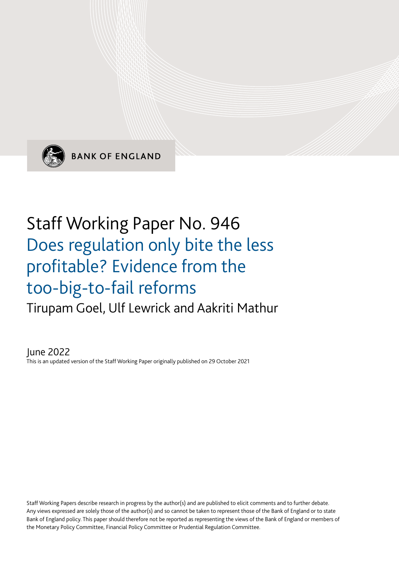

**BANK OF ENGLAND** 

# Staff Working Paper No. 946 Does regulation only bite the less profitable? Evidence from the too-big-to-fail reforms Tirupam Goel, Ulf Lewrick and Aakriti Mathur

June 2022 This is an updated version of the Staff Working Paper originally published on 29 October 2021

Staff Working Papers describe research in progress by the author(s) and are published to elicit comments and to further debate. Any views expressed are solely those of the author(s) and so cannot be taken to represent those of the Bank of England or to state Bank of England policy. This paper should therefore not be reported as representing the views of the Bank of England or members of the Monetary Policy Committee, Financial Policy Committee or Prudential Regulation Committee.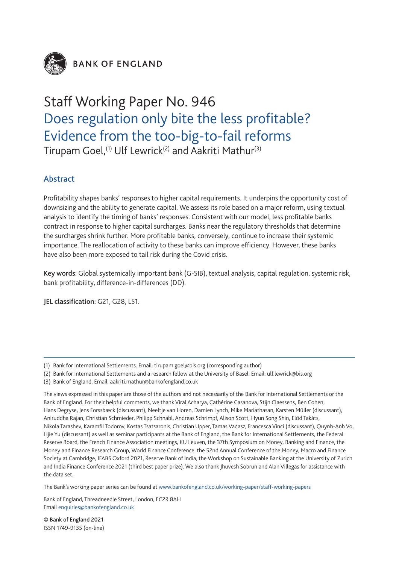

**BANK OF ENGLAND** 

## Staff Working Paper No. 946 Does regulation only bite the less profitable? Evidence from the too-big-to-fail reforms Tirupam Goel,<sup>(1)</sup> Ulf Lewrick<sup>(2)</sup> and Aakriti Mathur<sup>(3)</sup>

## Abstract

Profitability shapes banks' responses to higher capital requirements. It underpins the opportunity cost of downsizing and the ability to generate capital. We assess its role based on a major reform, using textual analysis to identify the timing of banks' responses. Consistent with our model, less profitable banks contract in response to higher capital surcharges. Banks near the regulatory thresholds that determine the surcharges shrink further. More profitable banks, conversely, continue to increase their systemic importance. The reallocation of activity to these banks can improve efficiency. However, these banks have also been more exposed to tail risk during the Covid crisis.

Key words: Global systemically important bank (G-SIB), textual analysis, capital regulation, systemic risk, bank profitability, difference-in-differences (DD).

JEL classification: G21, G28, L51.

- (2) Bank for International Settlements and a research fellow at the University of Basel. Email: ulf.lewrick@bis.org
- (3) Bank of England. Email: aakriti.mathur@bankofengland.co.uk

The Bank's working paper series can be found at www.bankofengland.co.uk/working-paper/staff-working-papers

Bank of England, Threadneedle Street, London, EC2R 8AH Email enquiries@bankofengland.co.uk

© Bank of England 2021 ISSN 1749-9135 (on-line)

<sup>(1)</sup> Bank for International Settlements. Email: tirupam.goel@bis.org (corresponding author)

The views expressed in this paper are those of the authors and not necessarily of the Bank for International Settlements or the Bank of England. For their helpful comments, we thank Viral Acharya, Cathérine Casanova, Stijn Claessens, Ben Cohen, Hans Degryse, Jens Forssbæck (discussant), Neeltje van Horen, Damien Lynch, Mike Mariathasan, Karsten MÜller (discussant), Aniruddha Rajan, Christian Schmieder, Philipp Schnabl, Andreas Schrimpf, Alison Scott, Hyun Song Shin, ElŐd Takáts, Nikola Tarashev, Karamfil Todorov, Kostas Tsatsaronis, Christian Upper, Tamas Vadasz, Francesca Vinci (discussant), Quynh-Anh Vo, Lijie Yu (discussant) as well as seminar participants at the Bank of England, the Bank for International Settlements, the Federal Reserve Board, the French Finance Association meetings, KU Leuven, the 37th Symposium on Money, Banking and Finance, the Money and Finance Research Group, World Finance Conference, the 52nd Annual Conference of the Money, Macro and Finance Society at Cambridge, IFABS Oxford 2021, Reserve Bank of India, the Workshop on Sustainable Banking at the University of Zurich and India Finance Conference 2021 (third best paper prize). We also thank Jhuvesh Sobrun and Alan Villegas for assistance with the data set.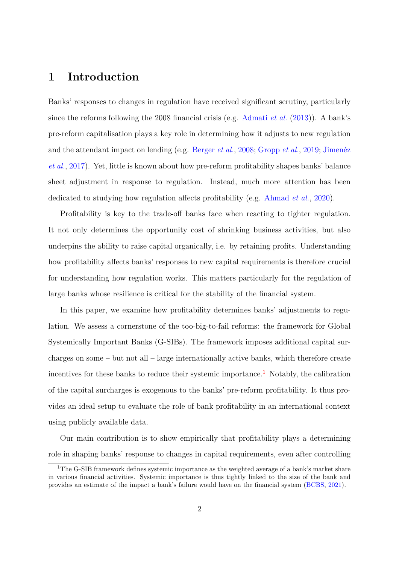## **1 Introduction**

Banks' responses to changes in regulation have received significant scrutiny, particularly since the reforms following the 2008 financial crisis (e.g. [Admati](#page-36-0) *et al.* [\(2013\)](#page-36-0)). A bank's pre-reform capitalisation plays a key role in determining how it adjusts to new regulation and the attendant impact on lending (e.g. [Berger](#page-37-0) *et al.*, [2008;](#page-37-0) [Gropp](#page-39-0) *et al.*, [2019;](#page-39-0) Jimenéz *[et al.](#page-39-1)*, [2017\)](#page-39-1). Yet, little is known about how pre-reform profitability shapes banks' balance sheet adjustment in response to regulation. Instead, much more attention has been dedicated to studying how regulation affects profitability (e.g. [Ahmad](#page-36-1) *et al.*, [2020\)](#page-36-1).

Profitability is key to the trade-off banks face when reacting to tighter regulation. It not only determines the opportunity cost of shrinking business activities, but also underpins the ability to raise capital organically, i.e. by retaining profits. Understanding how profitability affects banks' responses to new capital requirements is therefore crucial for understanding how regulation works. This matters particularly for the regulation of large banks whose resilience is critical for the stability of the financial system.

In this paper, we examine how profitability determines banks' adjustments to regulation. We assess a cornerstone of the too-big-to-fail reforms: the framework for Global Systemically Important Banks (G-SIBs). The framework imposes additional capital surcharges on some – but not all – large internationally active banks, which therefore create incentives for these banks to reduce their systemic importance.<sup>[1](#page-2-0)</sup> Notably, the calibration of the capital surcharges is exogenous to the banks' pre-reform profitability. It thus provides an ideal setup to evaluate the role of bank profitability in an international context using publicly available data.

Our main contribution is to show empirically that profitability plays a determining role in shaping banks' response to changes in capital requirements, even after controlling

<span id="page-2-0"></span><sup>&</sup>lt;sup>1</sup>The G-SIB framework defines systemic importance as the weighted average of a bank's market share in various financial activities. Systemic importance is thus tightly linked to the size of the bank and provides an estimate of the impact a bank's failure would have on the financial system [\(BCBS,](#page-37-1) [2021\)](#page-37-1).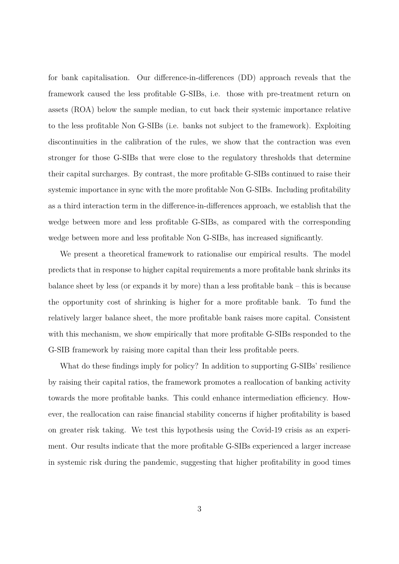for bank capitalisation. Our difference-in-differences (DD) approach reveals that the framework caused the less profitable G-SIBs, i.e. those with pre-treatment return on assets (ROA) below the sample median, to cut back their systemic importance relative to the less profitable Non G-SIBs (i.e. banks not subject to the framework). Exploiting discontinuities in the calibration of the rules, we show that the contraction was even stronger for those G-SIBs that were close to the regulatory thresholds that determine their capital surcharges. By contrast, the more profitable G-SIBs continued to raise their systemic importance in sync with the more profitable Non G-SIBs. Including profitability as a third interaction term in the difference-in-differences approach, we establish that the wedge between more and less profitable G-SIBs, as compared with the corresponding wedge between more and less profitable Non G-SIBs, has increased significantly.

We present a theoretical framework to rationalise our empirical results. The model predicts that in response to higher capital requirements a more profitable bank shrinks its balance sheet by less (or expands it by more) than a less profitable bank – this is because the opportunity cost of shrinking is higher for a more profitable bank. To fund the relatively larger balance sheet, the more profitable bank raises more capital. Consistent with this mechanism, we show empirically that more profitable G-SIBs responded to the G-SIB framework by raising more capital than their less profitable peers.

What do these findings imply for policy? In addition to supporting G-SIBs' resilience by raising their capital ratios, the framework promotes a reallocation of banking activity towards the more profitable banks. This could enhance intermediation efficiency. However, the reallocation can raise financial stability concerns if higher profitability is based on greater risk taking. We test this hypothesis using the Covid-19 crisis as an experiment. Our results indicate that the more profitable G-SIBs experienced a larger increase in systemic risk during the pandemic, suggesting that higher profitability in good times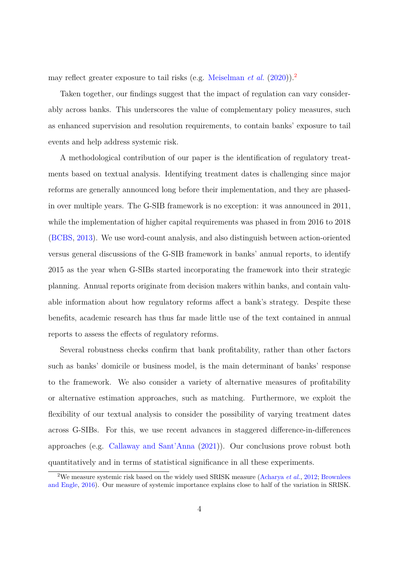may reflect greater exposure to tail risks (e.g. [Meiselman](#page-40-0) *et al.* [\(2020\)](#page-40-0)).[2](#page-4-0)

Taken together, our findings suggest that the impact of regulation can vary considerably across banks. This underscores the value of complementary policy measures, such as enhanced supervision and resolution requirements, to contain banks' exposure to tail events and help address systemic risk.

A methodological contribution of our paper is the identification of regulatory treatments based on textual analysis. Identifying treatment dates is challenging since major reforms are generally announced long before their implementation, and they are phasedin over multiple years. The G-SIB framework is no exception: it was announced in 2011, while the implementation of higher capital requirements was phased in from 2016 to 2018 [\(BCBS,](#page-37-2) [2013\)](#page-37-2). We use word-count analysis, and also distinguish between action-oriented versus general discussions of the G-SIB framework in banks' annual reports, to identify 2015 as the year when G-SIBs started incorporating the framework into their strategic planning. Annual reports originate from decision makers within banks, and contain valuable information about how regulatory reforms affect a bank's strategy. Despite these benefits, academic research has thus far made little use of the text contained in annual reports to assess the effects of regulatory reforms.

Several robustness checks confirm that bank profitability, rather than other factors such as banks' domicile or business model, is the main determinant of banks' response to the framework. We also consider a variety of alternative measures of profitability or alternative estimation approaches, such as matching. Furthermore, we exploit the flexibility of our textual analysis to consider the possibility of varying treatment dates across G-SIBs. For this, we use recent advances in staggered difference-in-differences approaches (e.g. [Callaway and Sant'Anna](#page-37-3) [\(2021\)](#page-37-3)). Our conclusions prove robust both quantitatively and in terms of statistical significance in all these experiments.

<span id="page-4-0"></span><sup>&</sup>lt;sup>2</sup>We measure systemic risk based on the widely used SRISK measure [\(Acharya](#page-36-2) *et al.*, [2012;](#page-36-2) [Brownlees](#page-37-4) [and Engle,](#page-37-4) [2016\)](#page-37-4). Our measure of systemic importance explains close to half of the variation in SRISK.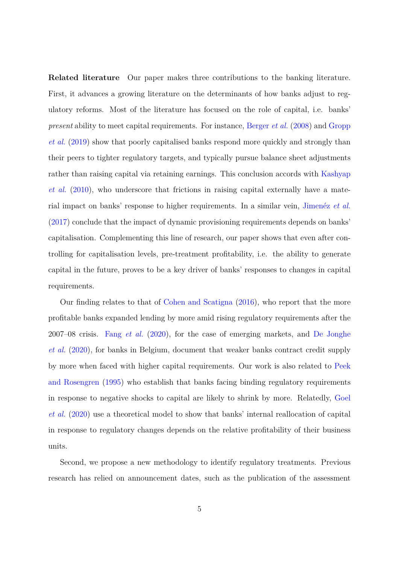**Related literature** Our paper makes three contributions to the banking literature. First, it advances a growing literature on the determinants of how banks adjust to regulatory reforms. Most of the literature has focused on the role of capital, i.e. banks' *present* ability to meet capital requirements. For instance, [Berger](#page-37-0) *et al.* [\(2008\)](#page-37-0) and [Gropp](#page-39-0) *[et al.](#page-39-0)* [\(2019\)](#page-39-0) show that poorly capitalised banks respond more quickly and strongly than their peers to tighter regulatory targets, and typically pursue balance sheet adjustments rather than raising capital via retaining earnings. This conclusion accords with [Kashyap](#page-39-2) *[et al.](#page-39-2)* [\(2010\)](#page-39-2), who underscore that frictions in raising capital externally have a material impact on banks' response to higher requirements. In a similar vein, Jimenéz *et al.* [\(2017\)](#page-39-1) conclude that the impact of dynamic provisioning requirements depends on banks' capitalisation. Complementing this line of research, our paper shows that even after controlling for capitalisation levels, pre-treatment profitability, i.e. the ability to generate capital in the future, proves to be a key driver of banks' responses to changes in capital requirements.

Our finding relates to that of [Cohen and Scatigna](#page-37-5) [\(2016\)](#page-37-5), who report that the more profitable banks expanded lending by more amid rising regulatory requirements after the 2007–08 crisis. Fang *[et al.](#page-38-0)* [\(2020\)](#page-38-0), for the case of emerging markets, and [De Jonghe](#page-38-1) *[et al.](#page-38-1)* [\(2020\)](#page-38-1), for banks in Belgium, document that weaker banks contract credit supply by more when faced with higher capital requirements. Our work is also related to [Peek](#page-40-1) [and Rosengren](#page-40-1) [\(1995\)](#page-40-1) who establish that banks facing binding regulatory requirements in response to negative shocks to capital are likely to shrink by more. Relatedly, [Goel](#page-39-3) *[et al.](#page-39-3)* [\(2020\)](#page-39-3) use a theoretical model to show that banks' internal reallocation of capital in response to regulatory changes depends on the relative profitability of their business units.

Second, we propose a new methodology to identify regulatory treatments. Previous research has relied on announcement dates, such as the publication of the assessment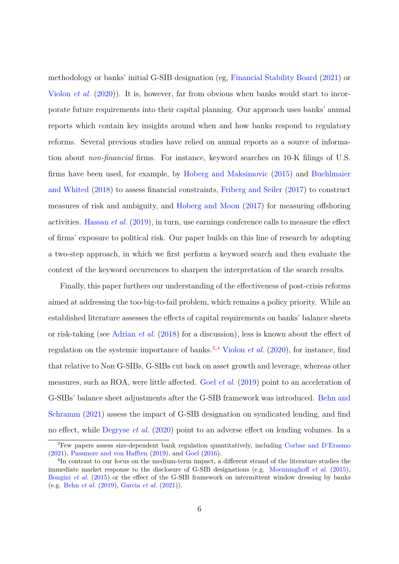methodology or banks' initial G-SIB designation (eg, [Financial Stability Board](#page-38-2) [\(2021\)](#page-38-2) or [Violon](#page-40-2) *et al.* [\(2020\)](#page-40-2)). It is, however, far from obvious when banks would start to incorporate future requirements into their capital planning. Our approach uses banks' annual reports which contain key insights around when and how banks respond to regulatory reforms. Several previous studies have relied on annual reports as a source of information about *non-financial* firms. For instance, keyword searches on 10-K filings of U.S. firms have been used, for example, by [Hoberg and Maksimovic](#page-39-4) [\(2015\)](#page-39-4) and [Buehlmaier](#page-37-6) [and Whited](#page-37-6) [\(2018\)](#page-37-6) to assess financial constraints, [Friberg and Seiler](#page-38-3) [\(2017\)](#page-38-3) to construct measures of risk and ambiguity, and [Hoberg and Moon](#page-39-5) [\(2017\)](#page-39-5) for measuring offshoring activities. [Hassan](#page-39-6) *et al.* [\(2019\)](#page-39-6), in turn, use earnings conference calls to measure the effect of firms' exposure to political risk. Our paper builds on this line of research by adopting a two-step approach, in which we first perform a keyword search and then evaluate the context of the keyword occurrences to sharpen the interpretation of the search results.

Finally, this paper furthers our understanding of the effectiveness of post-crisis reforms aimed at addressing the too-big-to-fail problem, which remains a policy priority. While an established literature assesses the effects of capital requirements on banks' balance sheets or risk-taking (see [Adrian](#page-36-3) *et al.* [\(2018\)](#page-36-3) for a discussion), less is known about the effect of regulation on the systemic importance of banks.[3](#page-6-0)*,*[4](#page-6-1) [Violon](#page-40-2) *et al.* [\(2020\)](#page-40-2), for instance, find that relative to Non G-SIBs, G-SIBs cut back on asset growth and leverage, whereas other measures, such as ROA, were little affected. Goel *[et al.](#page-38-4)* [\(2019\)](#page-38-4) point to an acceleration of G-SIBs' balance sheet adjustments after the G-SIB framework was introduced. [Behn and](#page-37-7) [Schramm](#page-37-7) [\(2021\)](#page-37-7) assess the impact of G-SIB designation on syndicated lending, and find no effect, while [Degryse](#page-38-5) *et al.* [\(2020\)](#page-38-5) point to an adverse effect on lending volumes. In a

<span id="page-6-0"></span><sup>3</sup>Few papers assess size-dependent bank regulation quantitatively, including [Corbae and D'Erasmo](#page-38-6) [\(2021\)](#page-38-6), [Passmore and von Hafften](#page-40-3) [\(2019\)](#page-40-3), and [Goel](#page-38-7) [\(2016\)](#page-38-7).

<span id="page-6-1"></span><sup>&</sup>lt;sup>4</sup>In contrast to our focus on the medium-term impact, a different strand of the literature studies the immediate market response to the disclosure of G-SIB designations (e.g. [Moenninghoff](#page-40-4) *et al.* [\(2015\)](#page-40-4), [Bongini](#page-37-8) *et al.* [\(2015\)](#page-37-8) or the effect of the G-SIB framework on intermittent window dressing by banks (e.g. [Behn](#page-37-9) *et al.* [\(2019\)](#page-37-9), [Garcia](#page-38-8) *et al.* [\(2021\)](#page-38-8)).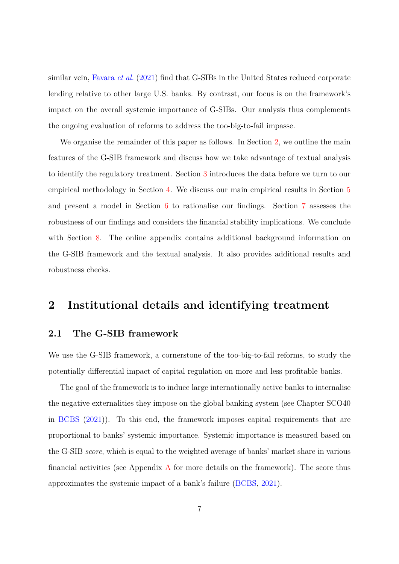similar vein, [Favara](#page-38-9) *et al.* [\(2021\)](#page-38-9) find that G-SIBs in the United States reduced corporate lending relative to other large U.S. banks. By contrast, our focus is on the framework's impact on the overall systemic importance of G-SIBs. Our analysis thus complements the ongoing evaluation of reforms to address the too-big-to-fail impasse.

We organise the remainder of this paper as follows. In Section [2,](#page-7-0) we outline the main features of the G-SIB framework and discuss how we take advantage of textual analysis to identify the regulatory treatment. Section [3](#page-11-0) introduces the data before we turn to our empirical methodology in Section [4.](#page-13-0) We discuss our main empirical results in Section [5](#page-18-0) and present a model in Section [6](#page-24-0) to rationalise our findings. Section [7](#page-28-0) assesses the robustness of our findings and considers the financial stability implications. We conclude with Section [8.](#page-35-0) The online appendix contains additional background information on the G-SIB framework and the textual analysis. It also provides additional results and robustness checks.

## <span id="page-7-0"></span>**2 Institutional details and identifying treatment**

#### **2.1 The G-SIB framework**

We use the G-SIB framework, a cornerstone of the too-big-to-fail reforms, to study the potentially differential impact of capital regulation on more and less profitable banks.

The goal of the framework is to induce large internationally active banks to internalise the negative externalities they impose on the global banking system (see Chapter SCO40 in [BCBS](#page-37-1) [\(2021\)](#page-37-1)). To this end, the framework imposes capital requirements that are proportional to banks' systemic importance. Systemic importance is measured based on the G-SIB *score*, which is equal to the weighted average of banks' market share in various financial activities (see [A](#page-41-0)ppendix  $\overline{A}$  for more details on the framework). The score thus approximates the systemic impact of a bank's failure [\(BCBS,](#page-37-1) [2021\)](#page-37-1).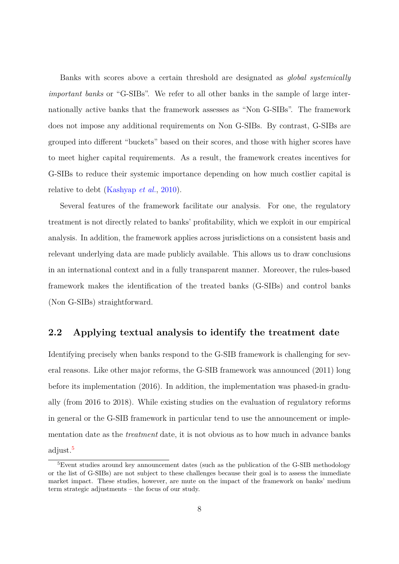Banks with scores above a certain threshold are designated as *global systemically important banks* or "G-SIBs". We refer to all other banks in the sample of large internationally active banks that the framework assesses as "Non G-SIBs". The framework does not impose any additional requirements on Non G-SIBs. By contrast, G-SIBs are grouped into different "buckets" based on their scores, and those with higher scores have to meet higher capital requirements. As a result, the framework creates incentives for G-SIBs to reduce their systemic importance depending on how much costlier capital is relative to debt [\(Kashyap](#page-39-2) *et al.*, [2010\)](#page-39-2).

Several features of the framework facilitate our analysis. For one, the regulatory treatment is not directly related to banks' profitability, which we exploit in our empirical analysis. In addition, the framework applies across jurisdictions on a consistent basis and relevant underlying data are made publicly available. This allows us to draw conclusions in an international context and in a fully transparent manner. Moreover, the rules-based framework makes the identification of the treated banks (G-SIBs) and control banks (Non G-SIBs) straightforward.

#### **2.2 Applying textual analysis to identify the treatment date**

Identifying precisely when banks respond to the G-SIB framework is challenging for several reasons. Like other major reforms, the G-SIB framework was announced (2011) long before its implementation (2016). In addition, the implementation was phased-in gradually (from 2016 to 2018). While existing studies on the evaluation of regulatory reforms in general or the G-SIB framework in particular tend to use the announcement or implementation date as the *treatment* date, it is not obvious as to how much in advance banks adjust.[5](#page-8-0)

<span id="page-8-0"></span> ${}^{5}$ Event studies around key announcement dates (such as the publication of the G-SIB methodology or the list of G-SIBs) are not subject to these challenges because their goal is to assess the immediate market impact. These studies, however, are mute on the impact of the framework on banks' medium term strategic adjustments – the focus of our study.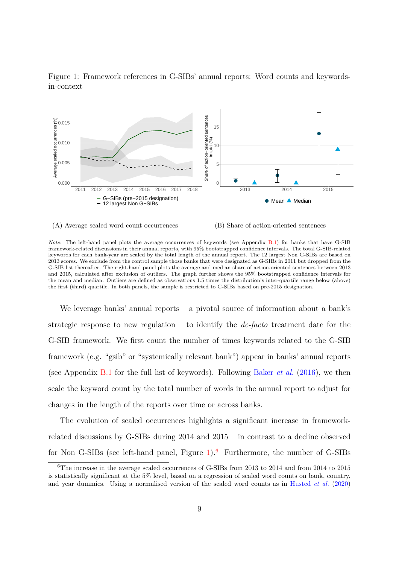

<span id="page-9-0"></span>



*Note*: The left-hand panel plots the average occurrences of keywords (see Appendix [B.1\)](#page-42-0) for banks that have G-SIB framework-related discussions in their annual reports, with 95% bootstrapped confidence intervals. The total G-SIB-related keywords for each bank-year are scaled by the total length of the annual report. The 12 largest Non G-SIBs are based on 2013 scores. We exclude from the control sample those banks that were designated as G-SIBs in 2011 but dropped from the G-SIB list thereafter. The right-hand panel plots the average and median share of action-oriented sentences between 2013 and 2015, calculated after exclusion of outliers. The graph further shows the 95% bootstrapped confidence intervals for the mean and median. Outliers are defined as observations 1.5 times the distribution's inter-quartile range below (above) the first (third) quartile. In both panels, the sample is restricted to G-SIBs based on pre-2015 designation.

We leverage banks' annual reports – a pivotal source of information about a bank's strategic response to new regulation – to identify the *de-facto* treatment date for the G-SIB framework. We first count the number of times keywords related to the G-SIB framework (e.g. "gsib" or "systemically relevant bank") appear in banks' annual reports (see Appendix [B.1](#page-42-0) for the full list of keywords). Following [Baker](#page-36-4) *et al.* [\(2016\)](#page-36-4), we then scale the keyword count by the total number of words in the annual report to adjust for changes in the length of the reports over time or across banks.

The evolution of scaled occurrences highlights a significant increase in frameworkrelated discussions by G-SIBs during 2014 and 2015 – in contrast to a decline observed for Non G-SIBs (see left-hand panel, Figure  $1$ ).<sup>[6](#page-9-1)</sup> Furthermore, the number of G-SIBs

<span id="page-9-1"></span><sup>&</sup>lt;sup>6</sup>The increase in the average scaled occurrences of G-SIBs from 2013 to 2014 and from 2014 to 2015 is statistically significant at the 5% level, based on a regression of scaled word counts on bank, country, and year dummies. Using a normalised version of the scaled word counts as in [Husted](#page-39-7) *et al.* [\(2020\)](#page-39-7)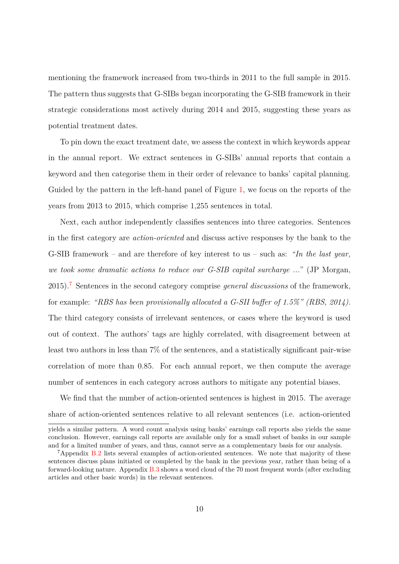mentioning the framework increased from two-thirds in 2011 to the full sample in 2015. The pattern thus suggests that G-SIBs began incorporating the G-SIB framework in their strategic considerations most actively during 2014 and 2015, suggesting these years as potential treatment dates.

To pin down the exact treatment date, we assess the context in which keywords appear in the annual report. We extract sentences in G-SIBs' annual reports that contain a keyword and then categorise them in their order of relevance to banks' capital planning. Guided by the pattern in the left-hand panel of Figure [1,](#page-9-0) we focus on the reports of the years from 2013 to 2015, which comprise 1,255 sentences in total.

Next, each author independently classifies sentences into three categories. Sentences in the first category are *action-oriented* and discuss active responses by the bank to the G-SIB framework – and are therefore of key interest to us – such as: *"In the last year, we took some dramatic actions to reduce our G-SIB capital surcharge ...*" (JP Morgan, 2015).[7](#page-10-0) Sentences in the second category comprise *general discussions* of the framework, for example: *"RBS has been provisionally allocated a G-SII buffer of 1.5%" (RBS, 2014)*. The third category consists of irrelevant sentences, or cases where the keyword is used out of context. The authors' tags are highly correlated, with disagreement between at least two authors in less than 7% of the sentences, and a statistically significant pair-wise correlation of more than 0.85. For each annual report, we then compute the average number of sentences in each category across authors to mitigate any potential biases.

We find that the number of action-oriented sentences is highest in 2015. The average share of action-oriented sentences relative to all relevant sentences (i.e. action-oriented

yields a similar pattern. A word count analysis using banks' earnings call reports also yields the same conclusion. However, earnings call reports are available only for a small subset of banks in our sample and for a limited number of years, and thus, cannot serve as a complementary basis for our analysis.

<span id="page-10-0"></span><sup>7</sup>Appendix [B.2](#page-43-0) lists several examples of action-oriented sentences. We note that majority of these sentences discuss plans initiated or completed by the bank in the previous year, rather than being of a forward-looking nature. Appendix [B.3](#page-44-0) shows a word cloud of the 70 most frequent words (after excluding articles and other basic words) in the relevant sentences.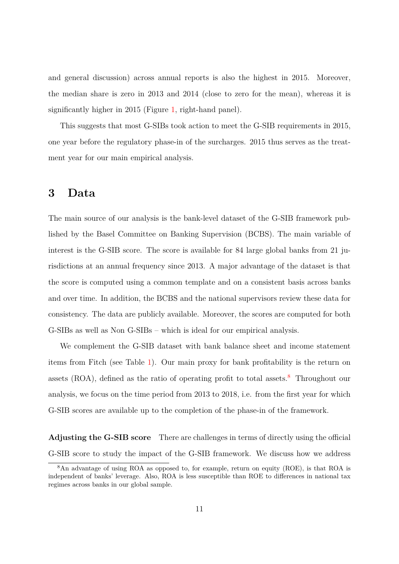and general discussion) across annual reports is also the highest in 2015. Moreover, the median share is zero in 2013 and 2014 (close to zero for the mean), whereas it is significantly higher in 2015 (Figure [1,](#page-9-0) right-hand panel).

This suggests that most G-SIBs took action to meet the G-SIB requirements in 2015, one year before the regulatory phase-in of the surcharges. 2015 thus serves as the treatment year for our main empirical analysis.

### <span id="page-11-0"></span>**3 Data**

The main source of our analysis is the bank-level dataset of the G-SIB framework published by the Basel Committee on Banking Supervision (BCBS). The main variable of interest is the G-SIB score. The score is available for 84 large global banks from 21 jurisdictions at an annual frequency since 2013. A major advantage of the dataset is that the score is computed using a common template and on a consistent basis across banks and over time. In addition, the BCBS and the national supervisors review these data for consistency. The data are publicly available. Moreover, the scores are computed for both G-SIBs as well as Non G-SIBs – which is ideal for our empirical analysis.

We complement the G-SIB dataset with bank balance sheet and income statement items from Fitch (see Table [1\)](#page-12-0). Our main proxy for bank profitability is the return on assets  $(ROA)$ , defined as the ratio of operating profit to total assets.<sup>[8](#page-11-1)</sup> Throughout our analysis, we focus on the time period from 2013 to 2018, i.e. from the first year for which G-SIB scores are available up to the completion of the phase-in of the framework.

**Adjusting the G-SIB score** There are challenges in terms of directly using the official G-SIB score to study the impact of the G-SIB framework. We discuss how we address

<span id="page-11-1"></span><sup>8</sup>An advantage of using ROA as opposed to, for example, return on equity (ROE), is that ROA is independent of banks' leverage. Also, ROA is less susceptible than ROE to differences in national tax regimes across banks in our global sample.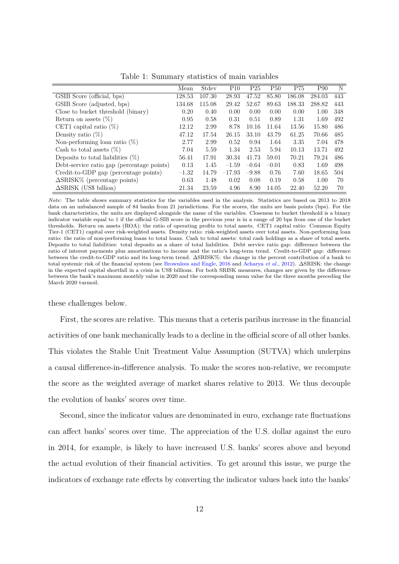<span id="page-12-0"></span>

|                                            | Mean    | Stdev  | P <sub>10</sub> | P <sub>25</sub> | <b>P50</b> | P75    | P90    | N   |
|--------------------------------------------|---------|--------|-----------------|-----------------|------------|--------|--------|-----|
| GSIB Score (official, bps)                 | 128.53  | 107.30 | 28.93           | 47.52           | 85.80      | 186.08 | 284.03 | 443 |
| GSIB Score (adjusted, bps)                 | 134.68  | 115.08 | 29.42           | 52.67           | 89.63      | 188.33 | 288.82 | 443 |
| Close to bucket threshold (binary)         | 0.20    | 0.40   | 0.00            | 0.00            | 0.00       | 0.00   | 1.00   | 348 |
| Return on assets $(\%)$                    | 0.95    | 0.58   | 0.31            | 0.51            | 0.89       | 1.31   | 1.69   | 492 |
| CET1 capital ratio $(\%)$                  | 12.12   | 2.99   | 8.78            | 10.16           | 11.64      | 13.56  | 15.80  | 486 |
| Density ratio $(\%)$                       | 47.12   | 17.54  | 26.15           | 33.10           | 43.79      | 61.25  | 70.66  | 485 |
| Non-performing loan ratio $(\%)$           | 2.77    | 2.99   | 0.52            | 0.94            | 1.64       | 3.35   | 7.04   | 478 |
| Cash to total assets $(\%)$                | 7.04    | 5.59   | 1.34            | 2.53            | 5.94       | 10.13  | 13.71  | 492 |
| Deposits to total liabilities $(\%)$       | 56.41   | 17.91  | 30.34           | 41.73           | 59.01      | 70.21  | 79.24  | 486 |
| Debt-service ratio gap (percentage points) | 0.13    | 1.45   | $-1.59$         | $-0.64$         | $-0.01$    | 0.83   | 1.69   | 498 |
| Credit-to-GDP gap (percentage points)      | $-1.32$ | 14.79  | $-17.93$        | $-9.88$         | 0.76       | 7.60   | 18.65  | 504 |
| $\Delta$ SRISK $\%$ (percentage points)    | 0.63    | 1.48   | 0.02            | 0.08            | 0.19       | 0.58   | 1.00   | 70  |
| $\Delta$ SRISK (US\$ billion)              | 21.34   | 23.59  | 4.96            | 8.90            | 14.05      | 22.40  | 52.20  | 70  |

Table 1: Summary statistics of main variables

*Note*: The table shows summary statistics for the variables used in the analysis. Statistics are based on 2013 to 2018 data on an unbalanced sample of 84 banks from 21 jurisdictions. For the scores, the units are basis points (bps). For the bank characteristics, the units are displayed alongside the name of the variables. Closeness to bucket threshold is a binary indicator variable equal to 1 if the official G-SIB score in the previous year is in a range of 20 bps from one of the bucket thresholds. Return on assets (ROA): the ratio of operating profits to total assets. CET1 capital ratio: Common Equity Tier-1 (CET1) capital over risk-weighted assets. Density ratio: risk-weighted assets over total assets. Non-performing loan ratio: the ratio of non-performing loans to total loans. Cash to total assets: total cash holdings as a share of total assets. Deposits to total liabilities: total deposits as a share of total liabilities. Debt service ratio gap: difference between the ratio of interest payments plus amortisations to income and the ratio's long-term trend. Credit-to-GDP gap: difference between the credit-to-GDP ratio and its long-term trend. ∆SRISK%: the change in the percent contribution of a bank to total systemic risk of the financial system (see [Brownlees and Engle,](#page-37-4) [2016](#page-37-4) and [Acharya](#page-36-2) *et al.*, [2012\)](#page-36-2). ∆SRISK: the change in the expected capital shortfall in a crisis in US\$ billions. For both SRISK measures, changes are given by the difference between the bank's maximum monthly value in 2020 and the corresponding mean value for the three months preceding the March 2020 turmoil.

these challenges below.

First, the scores are relative. This means that a ceteris paribus increase in the financial activities of one bank mechanically leads to a decline in the official score of all other banks. This violates the Stable Unit Treatment Value Assumption (SUTVA) which underpins a causal difference-in-difference analysis. To make the scores non-relative, we recompute the score as the weighted average of market shares relative to 2013. We thus decouple the evolution of banks' scores over time.

Second, since the indicator values are denominated in euro, exchange rate fluctuations can affect banks' scores over time. The appreciation of the U.S. dollar against the euro in 2014, for example, is likely to have increased U.S. banks' scores above and beyond the actual evolution of their financial activities. To get around this issue, we purge the indicators of exchange rate effects by converting the indicator values back into the banks'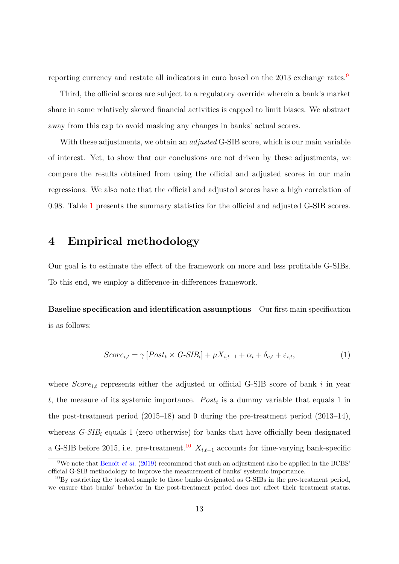reporting currency and restate all indicators in euro based on the 2013 exchange rates.<sup>[9](#page-13-1)</sup>

Third, the official scores are subject to a regulatory override wherein a bank's market share in some relatively skewed financial activities is capped to limit biases. We abstract away from this cap to avoid masking any changes in banks' actual scores.

With these adjustments, we obtain an *adjusted* G-SIB score, which is our main variable of interest. Yet, to show that our conclusions are not driven by these adjustments, we compare the results obtained from using the official and adjusted scores in our main regressions. We also note that the official and adjusted scores have a high correlation of 0.98. Table [1](#page-12-0) presents the summary statistics for the official and adjusted G-SIB scores.

## <span id="page-13-0"></span>**4 Empirical methodology**

Our goal is to estimate the effect of the framework on more and less profitable G-SIBs. To this end, we employ a difference-in-differences framework.

**Baseline specification and identification assumptions** Our first main specification is as follows:

<span id="page-13-3"></span>
$$
Score_{i,t} = \gamma \left[Post_t \times G\text{-SIB}_i \right] + \mu X_{i,t-1} + \alpha_i + \delta_{c,t} + \varepsilon_{i,t},\tag{1}
$$

where  $Score_{i,t}$  represents either the adjusted or official G-SIB score of bank  $i$  in year *t*, the measure of its systemic importance.  $Post<sub>t</sub>$  is a dummy variable that equals 1 in the post-treatment period (2015–18) and 0 during the pre-treatment period (2013–14), whereas *G-SIB<sup>i</sup>* equals 1 (zero otherwise) for banks that have officially been designated a G-SIB before 2015, i.e. pre-treatment.<sup>[10](#page-13-2)</sup>  $X_{i,t-1}$  accounts for time-varying bank-specific

<span id="page-13-1"></span><sup>&</sup>lt;sup>9</sup>We note that [Benoit](#page-37-10) *et al.* [\(2019\)](#page-37-10) recommend that such an adjustment also be applied in the BCBS' official G-SIB methodology to improve the measurement of banks' systemic importance.

<span id="page-13-2"></span><sup>&</sup>lt;sup>10</sup>By restricting the treated sample to those banks designated as G-SIBs in the pre-treatment period, we ensure that banks' behavior in the post-treatment period does not affect their treatment status.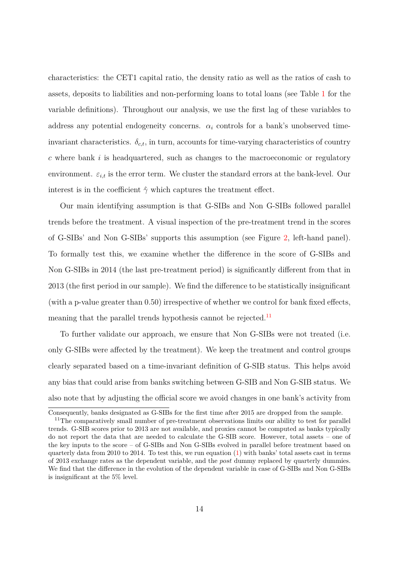characteristics: the CET1 capital ratio, the density ratio as well as the ratios of cash to assets, deposits to liabilities and non-performing loans to total loans (see Table [1](#page-12-0) for the variable definitions). Throughout our analysis, we use the first lag of these variables to address any potential endogeneity concerns.  $\alpha_i$  controls for a bank's unobserved timeinvariant characteristics.  $\delta_{c,t}$ , in turn, accounts for time-varying characteristics of country *c* where bank *i* is headquartered, such as changes to the macroeconomic or regulatory environment.  $\varepsilon_{i,t}$  is the error term. We cluster the standard errors at the bank-level. Our interest is in the coefficient  $\hat{\gamma}$  which captures the treatment effect.

Our main identifying assumption is that G-SIBs and Non G-SIBs followed parallel trends before the treatment. A visual inspection of the pre-treatment trend in the scores of G-SIBs' and Non G-SIBs' supports this assumption (see Figure [2,](#page-15-0) left-hand panel). To formally test this, we examine whether the difference in the score of G-SIBs and Non G-SIBs in 2014 (the last pre-treatment period) is significantly different from that in 2013 (the first period in our sample). We find the difference to be statistically insignificant (with a p-value greater than 0.50) irrespective of whether we control for bank fixed effects, meaning that the parallel trends hypothesis cannot be rejected.<sup>[11](#page-14-0)</sup>

To further validate our approach, we ensure that Non G-SIBs were not treated (i.e. only G-SIBs were affected by the treatment). We keep the treatment and control groups clearly separated based on a time-invariant definition of G-SIB status. This helps avoid any bias that could arise from banks switching between G-SIB and Non G-SIB status. We also note that by adjusting the official score we avoid changes in one bank's activity from

Consequently, banks designated as G-SIBs for the first time after 2015 are dropped from the sample.

<span id="page-14-0"></span><sup>&</sup>lt;sup>11</sup>The comparatively small number of pre-treatment observations limits our ability to test for parallel trends. G-SIB scores prior to 2013 are not available, and proxies cannot be computed as banks typically do not report the data that are needed to calculate the G-SIB score. However, total assets – one of the key inputs to the score – of G-SIBs and Non G-SIBs evolved in parallel before treatment based on quarterly data from 2010 to 2014. To test this, we run equation  $(1)$  with banks' total assets cast in terms of 2013 exchange rates as the dependent variable, and the *post* dummy replaced by quarterly dummies. We find that the difference in the evolution of the dependent variable in case of G-SIBs and Non G-SIBs is insignificant at the 5% level.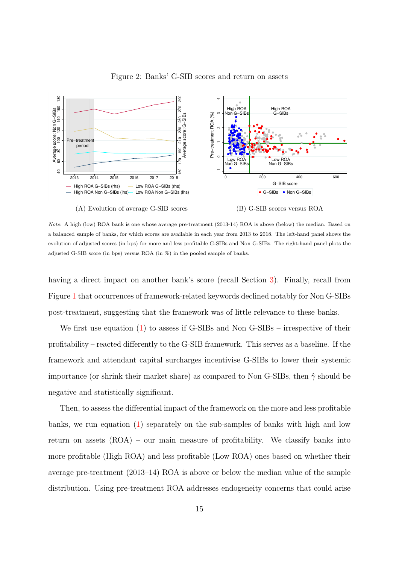<span id="page-15-0"></span>

Figure 2: Banks' G-SIB scores and return on assets

(A) Evolution of average G-SIB scores (B) G-SIB scores versus ROA

*Note*: A high (low) ROA bank is one whose average pre-treatment (2013-14) ROA is above (below) the median. Based on a balanced sample of banks, for which scores are available in each year from 2013 to 2018. The left-hand panel shows the evolution of adjusted scores (in bps) for more and less profitable G-SIBs and Non G-SIBs. The right-hand panel plots the adjusted G-SIB score (in bps) versus ROA (in %) in the pooled sample of banks.

having a direct impact on another bank's score (recall Section [3\)](#page-11-0). Finally, recall from Figure [1](#page-9-0) that occurrences of framework-related keywords declined notably for Non G-SIBs post-treatment, suggesting that the framework was of little relevance to these banks.

We first use equation [\(1\)](#page-13-3) to assess if G-SIBs and Non G-SIBs – irrespective of their profitability – reacted differently to the G-SIB framework. This serves as a baseline. If the framework and attendant capital surcharges incentivise G-SIBs to lower their systemic importance (or shrink their market share) as compared to Non G-SIBs, then ˆ*γ* should be negative and statistically significant.

Then, to assess the differential impact of the framework on the more and less profitable banks, we run equation [\(1\)](#page-13-3) separately on the sub-samples of banks with high and low return on assets (ROA) – our main measure of profitability. We classify banks into more profitable (High ROA) and less profitable (Low ROA) ones based on whether their average pre-treatment (2013–14) ROA is above or below the median value of the sample distribution. Using pre-treatment ROA addresses endogeneity concerns that could arise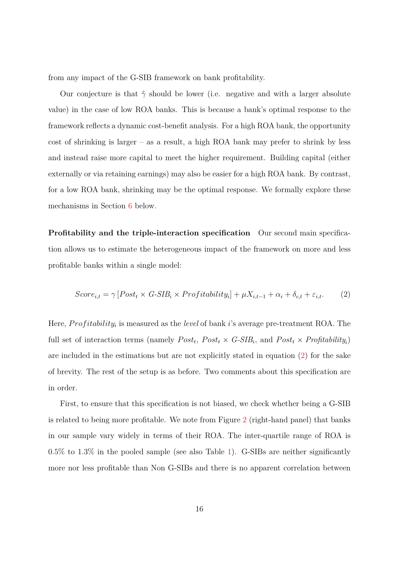from any impact of the G-SIB framework on bank profitability.

Our conjecture is that  $\hat{\gamma}$  should be lower (i.e. negative and with a larger absolute value) in the case of low ROA banks. This is because a bank's optimal response to the framework reflects a dynamic cost-benefit analysis. For a high ROA bank, the opportunity cost of shrinking is larger – as a result, a high ROA bank may prefer to shrink by less and instead raise more capital to meet the higher requirement. Building capital (either externally or via retaining earnings) may also be easier for a high ROA bank. By contrast, for a low ROA bank, shrinking may be the optimal response. We formally explore these mechanisms in Section [6](#page-24-0) below.

**Profitability and the triple-interaction specification** Our second main specification allows us to estimate the heterogeneous impact of the framework on more and less profitable banks within a single model:

<span id="page-16-0"></span>
$$
Score_{i,t} = \gamma \left[Post_t \times G\text{-SIB}_i \times Profitability_i \right] + \mu X_{i,t-1} + \alpha_i + \delta_{c,t} + \varepsilon_{i,t}. \tag{2}
$$

Here, *Profitability<sub>i</sub>* is measured as the *level* of bank *i*'s average pre-treatment ROA. The full set of interaction terms (namely  $Post_t$ ,  $Post_t \times G-SIB_i$ , and  $Post_t \times Profitability_i$ ) are included in the estimations but are not explicitly stated in equation [\(2\)](#page-16-0) for the sake of brevity. The rest of the setup is as before. Two comments about this specification are in order.

First, to ensure that this specification is not biased, we check whether being a G-SIB is related to being more profitable. We note from Figure [2](#page-15-0) (right-hand panel) that banks in our sample vary widely in terms of their ROA. The inter-quartile range of ROA is 0.5% to 1.3% in the pooled sample (see also Table [1\)](#page-12-0). G-SIBs are neither significantly more nor less profitable than Non G-SIBs and there is no apparent correlation between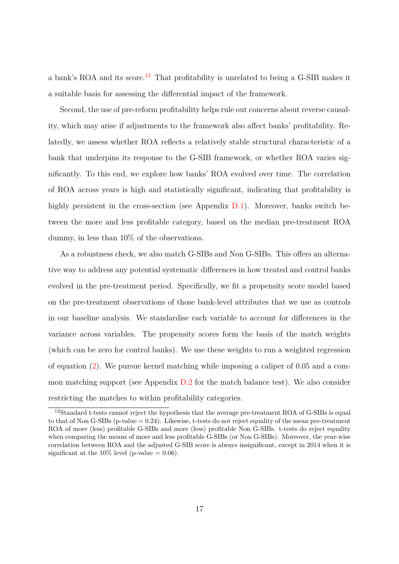a bank's ROA and its score.<sup>[12](#page-17-0)</sup> That profitability is unrelated to being a G-SIB makes it a suitable basis for assessing the differential impact of the framework.

Second, the use of pre-reform profitability helps rule out concerns about reverse causality, which may arise if adjustments to the framework also affect banks' profitability. Relatedly, we assess whether ROA reflects a relatively stable structural characteristic of a bank that underpins its response to the G-SIB framework, or whether ROA varies significantly. To this end, we explore how banks' ROA evolved over time. The correlation of ROA across years is high and statistically significant, indicating that profitability is highly persistent in the cross-section (see Appendix  $D.1$ ). Moreover, banks switch between the more and less profitable category, based on the median pre-treatment ROA dummy, in less than 10% of the observations.

As a robustness check, we also match G-SIBs and Non G-SIBs. This offers an alternative way to address any potential systematic differences in how treated and control banks evolved in the pre-treatment period. Specifically, we fit a propensity score model based on the pre-treatment observations of those bank-level attributes that we use as controls in our baseline analysis. We standardise each variable to account for differences in the variance across variables. The propensity scores form the basis of the match weights (which can be zero for control banks). We use these weights to run a weighted regression of equation [\(2\)](#page-16-0). We pursue kernel matching while imposing a caliper of 0.05 and a common matching support (see Appendix [D.2](#page-47-1) for the match balance test). We also consider restricting the matches to within profitability categories.

<span id="page-17-0"></span><sup>12</sup>Standard t-tests cannot reject the hypothesis that the average pre-treatment ROA of G-SIBs is equal to that of Non G-SIBs ( $p$ -value  $= 0.24$ ). Likewise, t-tests do not reject equality of the mean pre-treatment ROA of more (less) profitable G-SIBs and more (less) profitable Non G-SIBs. t-tests do reject equality when comparing the means of more and less profitable G-SIBs (or Non G-SIBs). Moreover, the year-wise correlation between ROA and the adjusted G-SIB score is always insignificant, except in 2014 when it is significant at the  $10\%$  level (p-value = 0.06).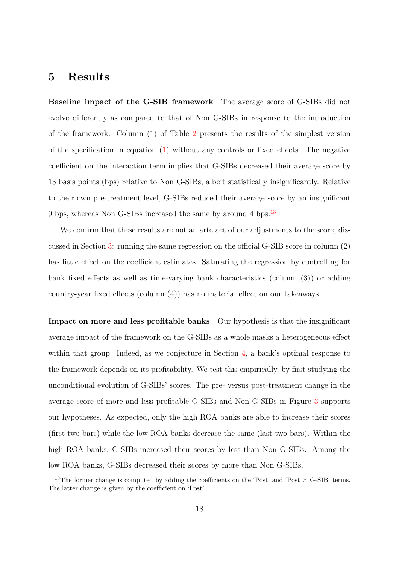## <span id="page-18-0"></span>**5 Results**

**Baseline impact of the G-SIB framework** The average score of G-SIBs did not evolve differently as compared to that of Non G-SIBs in response to the introduction of the framework. Column (1) of Table [2](#page-19-0) presents the results of the simplest version of the specification in equation [\(1\)](#page-13-3) without any controls or fixed effects. The negative coefficient on the interaction term implies that G-SIBs decreased their average score by 13 basis points (bps) relative to Non G-SIBs, albeit statistically insignificantly. Relative to their own pre-treatment level, G-SIBs reduced their average score by an insignificant 9 bps, whereas Non G-SIBs increased the same by around 4 bps.<sup>[13](#page-18-1)</sup>

We confirm that these results are not an artefact of our adjustments to the score, discussed in Section [3:](#page-11-0) running the same regression on the official G-SIB score in column (2) has little effect on the coefficient estimates. Saturating the regression by controlling for bank fixed effects as well as time-varying bank characteristics (column (3)) or adding country-year fixed effects (column (4)) has no material effect on our takeaways.

**Impact on more and less profitable banks** Our hypothesis is that the insignificant average impact of the framework on the G-SIBs as a whole masks a heterogeneous effect within that group. Indeed, as we conjecture in Section [4,](#page-13-0) a bank's optimal response to the framework depends on its profitability. We test this empirically, by first studying the unconditional evolution of G-SIBs' scores. The pre- versus post-treatment change in the average score of more and less profitable G-SIBs and Non G-SIBs in Figure [3](#page-20-0) supports our hypotheses. As expected, only the high ROA banks are able to increase their scores (first two bars) while the low ROA banks decrease the same (last two bars). Within the high ROA banks, G-SIBs increased their scores by less than Non G-SIBs. Among the low ROA banks, G-SIBs decreased their scores by more than Non G-SIBs.

<span id="page-18-1"></span><sup>&</sup>lt;sup>13</sup>The former change is computed by adding the coefficients on the 'Post' and 'Post  $\times$  G-SIB' terms. The latter change is given by the coefficient on 'Post'.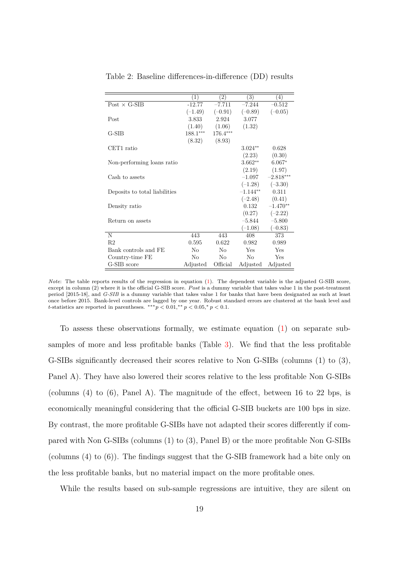|                               | (1)        | (2)        | (3)        | $\left(4\right)$ |
|-------------------------------|------------|------------|------------|------------------|
| Post $\times$ G-SIB           | $-12.77$   | $-7.711$   | $-7.244$   | $-0.512$         |
|                               | $(-1.49)$  | $(-0.91)$  | $(-0.89)$  | $(-0.05)$        |
| Post                          | 3.833      | 2.924      | 3.077      |                  |
|                               | (1.40)     | (1.06)     | (1.32)     |                  |
| $G-SIB$                       | $188.1***$ | $176.4***$ |            |                  |
|                               | (8.32)     | (8.93)     |            |                  |
| CET1 ratio                    |            |            | $3.024**$  | 0.628            |
|                               |            |            | (2.23)     | (0.30)           |
| Non-performing loans ratio    |            |            | $3.662**$  | $6.067*$         |
|                               |            |            | (2.19)     | (1.97)           |
| Cash to assets                |            |            | $-1.097$   | $-2.818***$      |
|                               |            |            | $(-1.28)$  | $(-3.30)$        |
| Deposits to total liabilities |            |            | $-1.144**$ | 0.311            |
|                               |            |            | $(-2.48)$  | (0.41)           |
| Density ratio                 |            |            | 0.132      | $-1.470**$       |
|                               |            |            | (0.27)     | $(-2.22)$        |
| Return on assets              |            |            | $-5.844$   | $-5.800$         |
|                               |            |            | $(-1.08)$  | $(-0.83)$        |
| N                             | 443        | 443        | 408        | 373              |
| R <sub>2</sub>                | 0.595      | 0.622      | 0.982      | 0.989            |
| Bank controls and FE          | No         | No         | Yes        | Yes              |
| Country-time FE               | No         | No         | No         | Yes              |
| G-SIB score                   | Adjusted   | Official   | Adjusted   | Adjusted         |

<span id="page-19-0"></span>Table 2: Baseline differences-in-difference (DD) results

*Note*: The table reports results of the regression in equation [\(1\)](#page-13-3). The dependent variable is the adjusted G-SIB score, except in column (2) where it is the official G-SIB score. *P ost* is a dummy variable that takes value 1 in the post-treatment period [2015-18], and *G-SIB* is a dummy variable that takes value 1 for banks that have been designated as such at least once before 2015. Bank-level controls are lagged by one year. Robust standard errors are clustered at the bank level and *t*-statistics are reported in parentheses.  $**p < 0.01, **p < 0.05, *p < 0.1$ .

To assess these observations formally, we estimate equation [\(1\)](#page-13-3) on separate subsamples of more and less profitable banks (Table [3\)](#page-21-0). We find that the less profitable G-SIBs significantly decreased their scores relative to Non G-SIBs (columns (1) to (3), Panel A). They have also lowered their scores relative to the less profitable Non G-SIBs (columns (4) to (6), Panel A). The magnitude of the effect, between 16 to 22 bps, is economically meaningful considering that the official G-SIB buckets are 100 bps in size. By contrast, the more profitable G-SIBs have not adapted their scores differently if compared with Non G-SIBs (columns (1) to (3), Panel B) or the more profitable Non G-SIBs (columns (4) to (6)). The findings suggest that the G-SIB framework had a bite only on the less profitable banks, but no material impact on the more profitable ones.

While the results based on sub-sample regressions are intuitive, they are silent on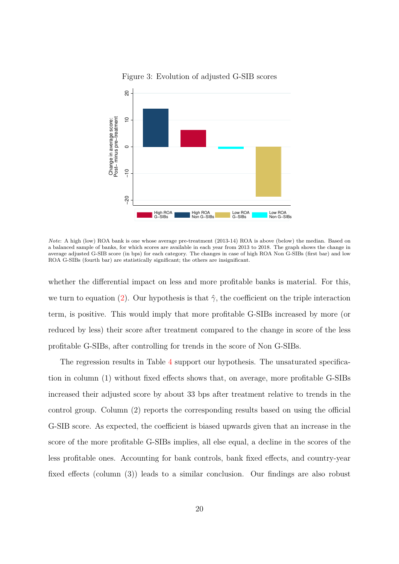<span id="page-20-0"></span>

Figure 3: Evolution of adjusted G-SIB scores

*Note*: A high (low) ROA bank is one whose average pre-treatment (2013-14) ROA is above (below) the median. Based on a balanced sample of banks, for which scores are available in each year from 2013 to 2018. The graph shows the change in average adjusted G-SIB score (in bps) for each category. The changes in case of high ROA Non G-SIBs (first bar) and low ROA G-SIBs (fourth bar) are statistically significant; the others are insignificant.

whether the differential impact on less and more profitable banks is material. For this, we turn to equation [\(2\)](#page-16-0). Our hypothesis is that  $\hat{\gamma}$ , the coefficient on the triple interaction term, is positive. This would imply that more profitable G-SIBs increased by more (or reduced by less) their score after treatment compared to the change in score of the less profitable G-SIBs, after controlling for trends in the score of Non G-SIBs.

The regression results in Table [4](#page-22-0) support our hypothesis. The unsaturated specification in column (1) without fixed effects shows that, on average, more profitable G-SIBs increased their adjusted score by about 33 bps after treatment relative to trends in the control group. Column (2) reports the corresponding results based on using the official G-SIB score. As expected, the coefficient is biased upwards given that an increase in the score of the more profitable G-SIBs implies, all else equal, a decline in the scores of the less profitable ones. Accounting for bank controls, bank fixed effects, and country-year fixed effects (column (3)) leads to a similar conclusion. Our findings are also robust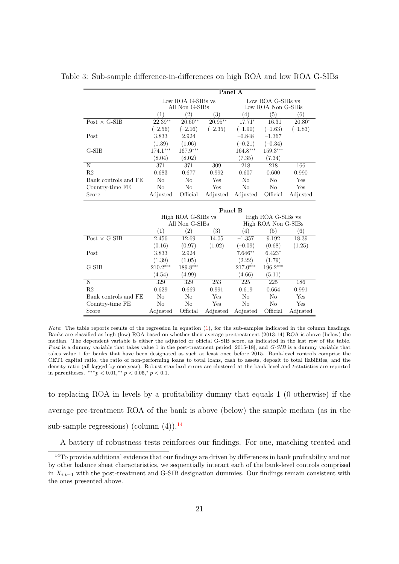|                      | Panel A    |                                     |                   |                                         |                     |           |  |
|----------------------|------------|-------------------------------------|-------------------|-----------------------------------------|---------------------|-----------|--|
|                      |            | Low ROA G-SIBs vs<br>All Non G-SIBs |                   | Low ROA G-SIBs vs<br>Low ROA Non G-SIBs |                     |           |  |
|                      | (1)        | (2)                                 | $\left( 3\right)$ | $\left(4\right)$                        | (5)                 | (6)       |  |
| Post $\times$ G-SIB  | $-22.39**$ | $-20.60**$                          | $-20.95**$        | $-17.71*$                               | $-16.31$            | $-20.80*$ |  |
|                      | $(-2.56)$  | $(-2.16)$                           | $(-2.35)$         | $(-1.90)$                               | $(-1.63)$           | $(-1.83)$ |  |
| Post                 | 3.833      | 2.924                               |                   | $-0.848$                                | $-1.367$            |           |  |
|                      | (1.39)     | (1.06)                              |                   | $(-0.21)$                               | $(-0.34)$           |           |  |
| G-SIB                | 174.1***   | $167.9***$                          |                   | 164.8***                                | 159.3***            |           |  |
|                      | (8.04)     | (8.02)                              |                   | (7.35)                                  | (7.34)              |           |  |
| N                    | 371        | 371                                 | 309               | 218                                     | 218                 | 166       |  |
| R <sub>2</sub>       | 0.683      | 0.677                               | 0.992             | 0.607                                   | 0.600               | 0.990     |  |
| Bank controls and FE | No         | No                                  | Yes               | No                                      | No                  | Yes       |  |
| Country-time FE      | No         | No                                  | Yes               | No                                      | No                  | Yes       |  |
| Score                | Adjusted   | Official                            | Adjusted          | Adjusted                                | Official            | Adjusted  |  |
|                      |            |                                     |                   |                                         |                     |           |  |
|                      |            |                                     |                   | Panel B                                 |                     |           |  |
|                      |            | High ROA G-SIBs vs                  |                   |                                         | High ROA G-SIBs vs  |           |  |
|                      |            | All Non G-SIBs                      |                   |                                         | High ROA Non G-SIBs |           |  |
|                      | (1)        | $\left( 2\right)$                   | (3)               | $\left(4\right)$                        | (5)                 | (6)       |  |
| Post $\times$ G-SIB  | 2.456      | 12.69                               | 14.05             | $-1.357$                                | 9.192               | 18.39     |  |
|                      | (0.16)     | (0.97)                              | (1.02)            | $(-0.09)$                               | (0.68)              | (1.25)    |  |
| Post                 | 3.833      | 2.924                               |                   | 7.646**                                 | $6.423*$            |           |  |

<span id="page-21-0"></span>Table 3: Sub-sample difference-in-differences on high ROA and low ROA G-SIBs

*Note*: The table reports results of the regression in equation [\(1\)](#page-13-3), for the sub-samples indicated in the column headings. Banks are classified as high (low) ROA based on whether their average pre-treatment (2013-14) ROA is above (below) the median. The dependent variable is either the adjusted or official G-SIB score, as indicated in the last row of the table. *P ost* is a dummy variable that takes value 1 in the post-treatment period [2015-18], and *G-SIB* is a dummy variable that takes value 1 for banks that have been designated as such at least once before 2015. Bank-level controls comprise the CET1 capital ratio, the ratio of non-performing loans to total loans, cash to assets, deposit to total liabilities, and the density ratio (all lagged by one year). Robust standard errors are clustered at the bank level and *t*-statistics are reported in parentheses.  $***p < 0.01, **p < 0.05, *p < 0.1$ .

G-SIB 210.2∗∗∗ 189.8∗∗∗ 217.0∗∗∗ 196.2∗∗∗

N 329 329 253 225 225 186 R2 0.629 0.669 0.991 0.619 0.664 0.991 Bank controls and FE No No Yes No No Yes Country-time FE No No Yes No No Yes Score Adjusted Official Adjusted Adjusted Official Adjusted

 $(1.39)$   $(1.05)$   $(2.22)$   $(1.79)$ <br> $210.2***$   $189.8***$   $217.0***$   $196.2**$ 

 $(4.54)$   $(4.99)$   $(4.66)$   $(5.11)$ 

to replacing ROA in levels by a profitability dummy that equals 1 (0 otherwise) if the average pre-treatment ROA of the bank is above (below) the sample median (as in the sub-sample regressions) (column  $(4)$ ).<sup>[14](#page-21-1)</sup>

<span id="page-21-1"></span>A battery of robustness tests reinforces our findings. For one, matching treated and

<sup>&</sup>lt;sup>14</sup>To provide additional evidence that our findings are driven by differences in bank profitability and not by other balance sheet characteristics, we sequentially interact each of the bank-level controls comprised in *Xi,t*−<sup>1</sup> with the post-treatment and G-SIB designation dummies. Our findings remain consistent with the ones presented above.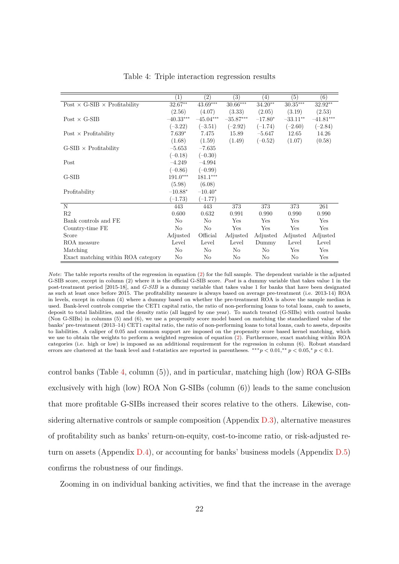<span id="page-22-0"></span>

|                                            | $\left(1\right)$ | (2)            | $\left( 3\right)$ | (4)       | $\overline{(5)}$ | (6)         |
|--------------------------------------------|------------------|----------------|-------------------|-----------|------------------|-------------|
| Post $\times$ G-SIB $\times$ Profitability | $32.67**$        | $43.69***$     | $30.66***$        | $34.20**$ | $30.35***$       | 32.92**     |
|                                            | (2.56)           | (4.07)         | (3.33)            | (2.05)    | (3.19)           | (2.53)      |
| $Post \times G-SIB$                        | $-40.33***$      | $-45.04***$    | $-35.87***$       | $-17.80*$ | $-33.11**$       | $-41.81***$ |
|                                            | $(-3.22)$        | $(-3.51)$      | $(-2.92)$         | $(-1.74)$ | $(-2.60)$        | $(-2.84)$   |
| Post $\times$ Profitability                | $7.639*$         | 7.475          | 15.89             | $-5.647$  | 12.65            | 14.26       |
|                                            | (1.68)           | (1.59)         | (1.49)            | $(-0.52)$ | (1.07)           | (0.58)      |
| $G-SIB \times$ Profitability               | $-5.653$         | $-7.635$       |                   |           |                  |             |
|                                            | $(-0.18)$        | $(-0.30)$      |                   |           |                  |             |
| Post                                       | $-4.249$         | $-4.994$       |                   |           |                  |             |
|                                            | $(-0.86)$        | $(-0.99)$      |                   |           |                  |             |
| $G-SIB$                                    | $191.0***$       | 181.1***       |                   |           |                  |             |
|                                            | (5.98)           | (6.08)         |                   |           |                  |             |
| Profitability                              | $-10.88*$        | $-10.40*$      |                   |           |                  |             |
|                                            | $(-1.73)$        | $(-1.77)$      |                   |           |                  |             |
| N                                          | 443              | 443            | 373               | 373       | 373              | 261         |
| R <sub>2</sub>                             | 0.600            | 0.632          | 0.991             | 0.990     | 0.990            | 0.990       |
| Bank controls and FE                       | N <sub>o</sub>   | N <sub>o</sub> | Yes               | Yes       | Yes              | Yes         |
| Country-time FE                            | $\rm No$         | $\rm No$       | Yes               | Yes       | Yes              | Yes         |
| Score                                      | Adjusted         | Official       | Adjusted          | Adjusted  | Adjusted         | Adjusted    |
| ROA measure                                | Level            | Level          | Level             | Dummy     | Level            | Level       |
| Matching                                   | N <sub>o</sub>   | No             | No                | No        | Yes              | Yes         |
| Exact matching within ROA category         | No               | No             | No                | No        | No               | Yes         |

Table 4: Triple interaction regression results

*Note*: The table reports results of the regression in equation [\(2\)](#page-16-0) for the full sample. The dependent variable is the adjusted G-SIB score, except in column (2) where it is the official G-SIB score. *P ost* is a dummy variable that takes value 1 in the post-treatment period [2015-18], and *G-SIB* is a dummy variable that takes value 1 for banks that have been designated as such at least once before 2015. The profitability measure is always based on average pre-treatment (i.e. 2013-14) ROA in levels, except in column (4) where a dummy based on whether the pre-treatment ROA is above the sample median is used. Bank-level controls comprise the CET1 capital ratio, the ratio of non-performing loans to total loans, cash to assets, deposit to total liabilities, and the density ratio (all lagged by one year). To match treated (G-SIBs) with control banks (Non G-SIBs) in columns (5) and (6), we use a propensity score model based on matching the standardized value of the banks' pre-treatment (2013–14) CET1 capital ratio, the ratio of non-performing loans to total loans, cash to assets, deposits to liabilities. A caliper of 0.05 and common support are imposed on the propensity score based kernel matching, which we use to obtain the weights to perform a weighted regression of equation [\(2\)](#page-16-0). Furthermore, exact matching within ROA categories (i.e. high or low) is imposed as an additional requirement for the regression in column (6). Robust standard errors are clustered at the bank level and *t*-statistics are reported in parentheses. ∗∗∗*p <* 0*.*01*,* ∗∗ *p <* 0*.*05*,* <sup>∗</sup> *p <* 0*.*1.

control banks (Table [4,](#page-22-0) column (5)), and in particular, matching high (low) ROA G-SIBs exclusively with high (low) ROA Non G-SIBs (column (6)) leads to the same conclusion that more profitable G-SIBs increased their scores relative to the others. Likewise, considering alternative controls or sample composition (Appendix  $D.3$ ), alternative measures of profitability such as banks' return-on-equity, cost-to-income ratio, or risk-adjusted return on assets (Appendix [D.4\)](#page-50-0), or accounting for banks' business models (Appendix [D.5\)](#page-50-1) confirms the robustness of our findings.

Zooming in on individual banking activities, we find that the increase in the average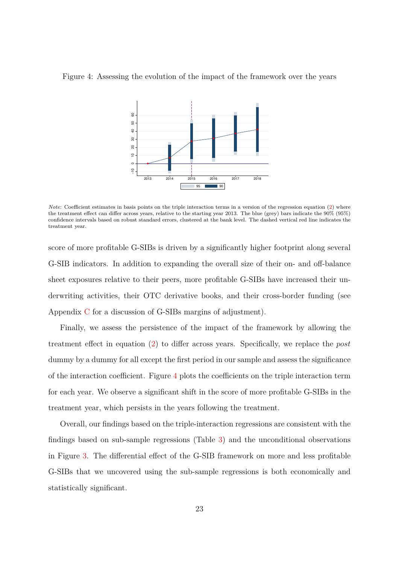<span id="page-23-0"></span>



*Note*: Coefficient estimates in basis points on the triple interaction terms in a version of the regression equation [\(2\)](#page-16-0) where the treatment effect can differ across years, relative to the starting year 2013. The blue (grey) bars indicate the 90% (95%) confidence intervals based on robust standard errors, clustered at the bank level. The dashed vertical red line indicates the treatment year.

score of more profitable G-SIBs is driven by a significantly higher footprint along several G-SIB indicators. In addition to expanding the overall size of their on- and off-balance sheet exposures relative to their peers, more profitable G-SIBs have increased their underwriting activities, their OTC derivative books, and their cross-border funding (see Appendix [C](#page-45-0) for a discussion of G-SIBs margins of adjustment).

Finally, we assess the persistence of the impact of the framework by allowing the treatment effect in equation [\(2\)](#page-16-0) to differ across years. Specifically, we replace the *post* dummy by a dummy for all except the first period in our sample and assess the significance of the interaction coefficient. Figure [4](#page-23-0) plots the coefficients on the triple interaction term for each year. We observe a significant shift in the score of more profitable G-SIBs in the treatment year, which persists in the years following the treatment.

Overall, our findings based on the triple-interaction regressions are consistent with the findings based on sub-sample regressions (Table [3\)](#page-21-0) and the unconditional observations in Figure [3.](#page-20-0) The differential effect of the G-SIB framework on more and less profitable G-SIBs that we uncovered using the sub-sample regressions is both economically and statistically significant.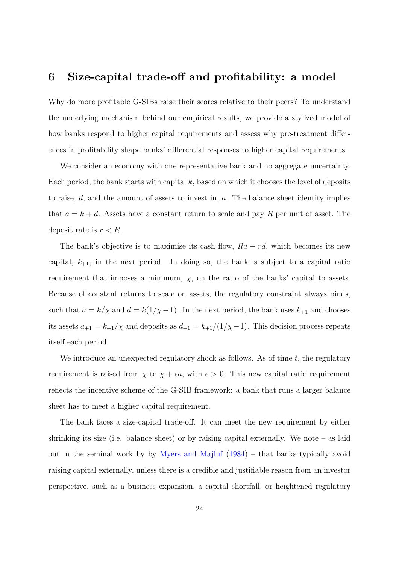## <span id="page-24-0"></span>**6 Size-capital trade-off and profitability: a model**

Why do more profitable G-SIBs raise their scores relative to their peers? To understand the underlying mechanism behind our empirical results, we provide a stylized model of how banks respond to higher capital requirements and assess why pre-treatment differences in profitability shape banks' differential responses to higher capital requirements.

We consider an economy with one representative bank and no aggregate uncertainty. Each period, the bank starts with capital *k*, based on which it chooses the level of deposits to raise, *d*, and the amount of assets to invest in, *a*. The balance sheet identity implies that  $a = k + d$ . Assets have a constant return to scale and pay R per unit of asset. The deposit rate is *r < R*.

The bank's objective is to maximise its cash flow,  $Ra - rd$ , which becomes its new capital,  $k_{+1}$ , in the next period. In doing so, the bank is subject to a capital ratio requirement that imposes a minimum,  $\chi$ , on the ratio of the banks' capital to assets. Because of constant returns to scale on assets, the regulatory constraint always binds, such that  $a = k/\chi$  and  $d = k(1/\chi - 1)$ . In the next period, the bank uses  $k_{+1}$  and chooses its assets  $a_{+1} = k_{+1}/\chi$  and deposits as  $d_{+1} = k_{+1}/(1/\chi-1)$ . This decision process repeats itself each period.

We introduce an unexpected regulatory shock as follows. As of time *t*, the regulatory requirement is raised from  $\chi$  to  $\chi + \epsilon a$ , with  $\epsilon > 0$ . This new capital ratio requirement reflects the incentive scheme of the G-SIB framework: a bank that runs a larger balance sheet has to meet a higher capital requirement.

The bank faces a size-capital trade-off. It can meet the new requirement by either shrinking its size (i.e. balance sheet) or by raising capital externally. We note – as laid out in the seminal work by by [Myers and Majluf](#page-40-5) [\(1984\)](#page-40-5) – that banks typically avoid raising capital externally, unless there is a credible and justifiable reason from an investor perspective, such as a business expansion, a capital shortfall, or heightened regulatory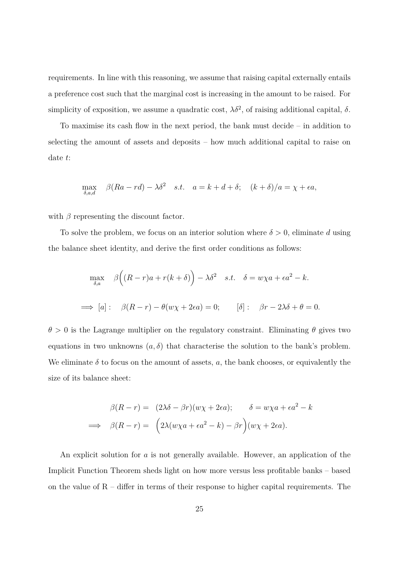requirements. In line with this reasoning, we assume that raising capital externally entails a preference cost such that the marginal cost is increasing in the amount to be raised. For simplicity of exposition, we assume a quadratic cost,  $\lambda \delta^2$ , of raising additional capital,  $\delta$ .

To maximise its cash flow in the next period, the bank must decide – in addition to selecting the amount of assets and deposits – how much additional capital to raise on date *t*:

$$
\max_{\delta, a, d} \quad \beta (Ra - rd) - \lambda \delta^2 \quad s.t. \quad a = k + d + \delta; \quad (k + \delta)/a = \chi + \epsilon a,
$$

with  $\beta$  representing the discount factor.

To solve the problem, we focus on an interior solution where  $\delta > 0$ , eliminate *d* using the balance sheet identity, and derive the first order conditions as follows:

$$
\max_{\delta,a} \quad \beta\Big((R-r)a + r(k+\delta)\Big) - \lambda \delta^2 \quad s.t. \quad \delta = w\chi a + \epsilon a^2 - k.
$$
\n
$$
\implies [a]: \quad \beta(R-r) - \theta(w\chi + 2\epsilon a) = 0; \qquad [\delta]: \quad \beta r - 2\lambda \delta + \theta = 0.
$$

 $\theta > 0$  is the Lagrange multiplier on the regulatory constraint. Eliminating  $\theta$  gives two equations in two unknowns  $(a, \delta)$  that characterise the solution to the bank's problem. We eliminate  $\delta$  to focus on the amount of assets,  $a$ , the bank chooses, or equivalently the size of its balance sheet:

$$
\beta(R - r) = (2\lambda \delta - \beta r)(w\chi + 2\epsilon a); \qquad \delta = w\chi a + \epsilon a^2 - k
$$
  

$$
\implies \beta(R - r) = (2\lambda(w\chi a + \epsilon a^2 - k) - \beta r)(w\chi + 2\epsilon a).
$$

An explicit solution for *a* is not generally available. However, an application of the Implicit Function Theorem sheds light on how more versus less profitable banks – based on the value of  $R -$  differ in terms of their response to higher capital requirements. The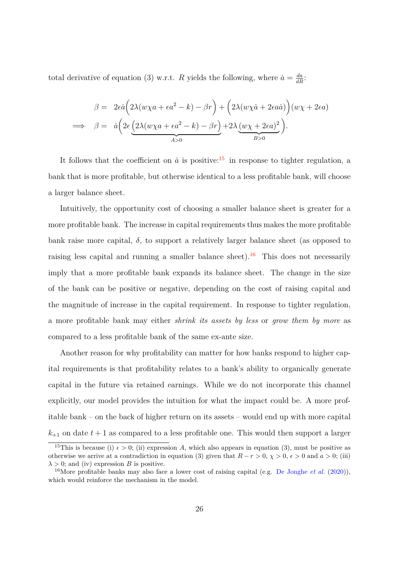total derivative of equation (3) w.r.t. *R* yields the following, where  $\dot{a} = \frac{da}{dR}$ .

$$
\beta = 2\epsilon \dot{a} \left( 2\lambda (w\chi a + \epsilon a^2 - k) - \beta r \right) + \left( 2\lambda (w\chi \dot{a} + 2\epsilon a \dot{a}) \right) (w\chi + 2\epsilon a)
$$
  
\n
$$
\implies \beta = \dot{a} \left( 2\epsilon \underbrace{\left( 2\lambda (w\chi a + \epsilon a^2 - k) - \beta r \right)}_{A>0} + 2\lambda \underbrace{(w\chi + 2\epsilon a)^2}_{B>0} \right).
$$

It follows that the coefficient on  $\dot{a}$  is positive:<sup>[15](#page-26-0)</sup> in response to tighter regulation, a bank that is more profitable, but otherwise identical to a less profitable bank, will choose a larger balance sheet.

Intuitively, the opportunity cost of choosing a smaller balance sheet is greater for a more profitable bank. The increase in capital requirements thus makes the more profitable bank raise more capital,  $\delta$ , to support a relatively larger balance sheet (as opposed to raising less capital and running a smaller balance sheet).<sup>[16](#page-26-1)</sup> This does not necessarily imply that a more profitable bank expands its balance sheet. The change in the size of the bank can be positive or negative, depending on the cost of raising capital and the magnitude of increase in the capital requirement. In response to tighter regulation, a more profitable bank may either *shrink its assets by less* or *grow them by more* as compared to a less profitable bank of the same ex-ante size.

Another reason for why profitability can matter for how banks respond to higher capital requirements is that profitability relates to a bank's ability to organically generate capital in the future via retained earnings. While we do not incorporate this channel explicitly, our model provides the intuition for what the impact could be. A more profitable bank – on the back of higher return on its assets – would end up with more capital  $k_{+1}$  on date  $t+1$  as compared to a less profitable one. This would then support a larger

<span id="page-26-0"></span><sup>&</sup>lt;sup>15</sup>This is because (i)  $\epsilon > 0$ ; (ii) expression *A*, which also appears in equation (3), must be positive as otherwise we arrive at a contradiction in equation (3) given that  $R - r > 0$ ,  $\chi > 0$ ,  $\epsilon > 0$  and  $a > 0$ ; (iii)  $\lambda > 0$ ; and (iv) expression *B* is positive.

<span id="page-26-1"></span><sup>16</sup>More profitable banks may also face a lower cost of raising capital (e.g. [De Jonghe](#page-38-1) *et al.* [\(2020\)](#page-38-1)), which would reinforce the mechanism in the model.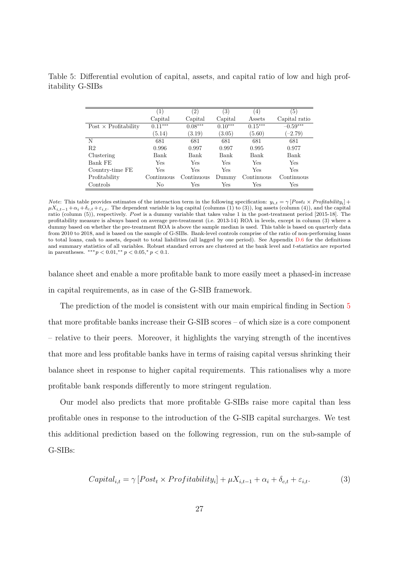<span id="page-27-0"></span>Table 5: Differential evolution of capital, assets, and capital ratio of low and high profitability G-SIBs

|                             | $\left(1\right)$ | $\left( 2\right)$ | $\left(3\right)$ | (4)        | $\left(5\right)$ |
|-----------------------------|------------------|-------------------|------------------|------------|------------------|
|                             | Capital          | Capital           | Capital          | Assets     | Capital ratio    |
| Post $\times$ Profitability | $0.11***$        | $0.08***$         | $0.10***$        | $0.15***$  | $-0.59***$       |
|                             | (5.14)           | (3.19)            | (3.05)           | (5.60)     | $(-2.79)$        |
| N                           | 681              | 681               | 681              | 681        | 681              |
| R <sub>2</sub>              | 0.996            | 0.997             | 0.997            | 0.995      | 0.977            |
| Clustering                  | Bank             | Bank              | Bank             | Bank       | Bank             |
| Bank FE                     | Yes              | Yes               | Yes              | Yes        | Yes              |
| Country-time FE             | Yes              | Yes               | Yes              | Yes        | Yes              |
| Profitability               | Continuous       | Continuous        | Dummy            | Continuous | Continuous       |
| Controls                    | No               | Yes               | Yes              | Yes        | Yes              |

*Note*: This table provides estimates of the interaction term in the following specification:  $y_{i,t} = \gamma [Post_t \times Profitability_i] + \gamma [Post_t \times Profitability_i]$  $\mu X_{i,t-1} + \alpha_i + \delta_{c,t} + \varepsilon_{i,t}$ . The dependent variable is log capital (columns (1) to (3)), log assets (column (4)), and the capital ratio (column (5)), respectively. *Post* is a dummy variable that takes value 1 in the post-treatment period [2015-18]. The profitability measure is always based on average pre-treatment (i.e. 2013-14) ROA in levels, except in column (3) where a dummy based on whether the pre-treatment ROA is above the sample median is used. This table is based on quarterly data from 2010 to 2018, and is based on the sample of G-SIBs. Bank-level controls comprise of the ratio of non-performing loans to total loans, cash to assets, deposit to total liabilities (all lagged by one period). See Appendix [D.6](#page-53-0) for the definitions and summary statistics of all variables. Robust standard errors are clustered at the bank level and *t*-statistics are reported in parentheses.  $***p < 0.01, **p < 0.05, *p < 0.1$ .

balance sheet and enable a more profitable bank to more easily meet a phased-in increase in capital requirements, as in case of the G-SIB framework.

The prediction of the model is consistent with our main empirical finding in Section [5](#page-18-0) that more profitable banks increase their G-SIB scores – of which size is a core component – relative to their peers. Moreover, it highlights the varying strength of the incentives that more and less profitable banks have in terms of raising capital versus shrinking their balance sheet in response to higher capital requirements. This rationalises why a more profitable bank responds differently to more stringent regulation.

Our model also predicts that more profitable G-SIBs raise more capital than less profitable ones in response to the introduction of the G-SIB capital surcharges. We test this additional prediction based on the following regression, run on the sub-sample of G-SIBs:

$$
Capital_{i,t} = \gamma [Post_t \times Profitability_i] + \mu X_{i,t-1} + \alpha_i + \delta_{c,t} + \varepsilon_{i,t}.
$$
 (3)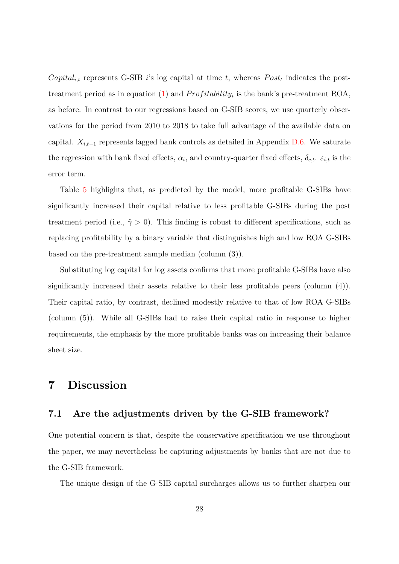*Capital<sub>i,t</sub>* represents G-SIB *i*'s log capital at time *t*, whereas  $Post<sub>t</sub>$  indicates the posttreatment period as in equation  $(1)$  and  $Profitability_i$  is the bank's pre-treatment ROA, as before. In contrast to our regressions based on G-SIB scores, we use quarterly observations for the period from 2010 to 2018 to take full advantage of the available data on capital.  $X_{i,t-1}$  represents lagged bank controls as detailed in Appendix [D.6.](#page-53-0) We saturate the regression with bank fixed effects,  $\alpha_i$ , and country-quarter fixed effects,  $\delta_{c,t}$ .  $\varepsilon_{i,t}$  is the error term.

Table [5](#page-27-0) highlights that, as predicted by the model, more profitable G-SIBs have significantly increased their capital relative to less profitable G-SIBs during the post treatment period (i.e.,  $\hat{\gamma} > 0$ ). This finding is robust to different specifications, such as replacing profitability by a binary variable that distinguishes high and low ROA G-SIBs based on the pre-treatment sample median (column (3)).

Substituting log capital for log assets confirms that more profitable G-SIBs have also significantly increased their assets relative to their less profitable peers (column (4)). Their capital ratio, by contrast, declined modestly relative to that of low ROA G-SIBs (column (5)). While all G-SIBs had to raise their capital ratio in response to higher requirements, the emphasis by the more profitable banks was on increasing their balance sheet size.

## <span id="page-28-0"></span>**7 Discussion**

#### **7.1 Are the adjustments driven by the G-SIB framework?**

One potential concern is that, despite the conservative specification we use throughout the paper, we may nevertheless be capturing adjustments by banks that are not due to the G-SIB framework.

The unique design of the G-SIB capital surcharges allows us to further sharpen our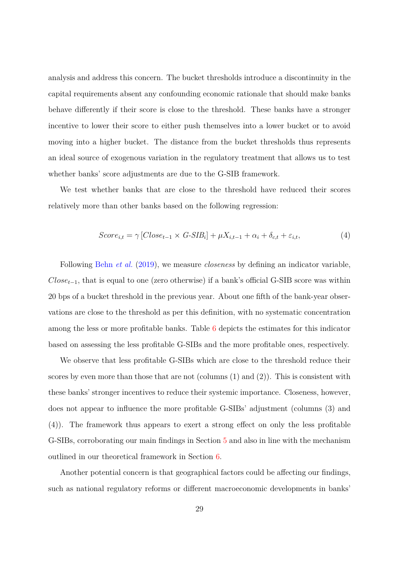analysis and address this concern. The bucket thresholds introduce a discontinuity in the capital requirements absent any confounding economic rationale that should make banks behave differently if their score is close to the threshold. These banks have a stronger incentive to lower their score to either push themselves into a lower bucket or to avoid moving into a higher bucket. The distance from the bucket thresholds thus represents an ideal source of exogenous variation in the regulatory treatment that allows us to test whether banks' score adjustments are due to the G-SIB framework.

We test whether banks that are close to the threshold have reduced their scores relatively more than other banks based on the following regression:

$$
Score_{i,t} = \gamma [Close_{t-1} \times G-SIB_i] + \mu X_{i,t-1} + \alpha_i + \delta_{c,t} + \varepsilon_{i,t},
$$
\n
$$
\tag{4}
$$

Following [Behn](#page-37-9) *et al.* [\(2019\)](#page-37-9), we measure *closeness* by defining an indicator variable, *Closet*−1, that is equal to one (zero otherwise) if a bank's official G-SIB score was within 20 bps of a bucket threshold in the previous year. About one fifth of the bank-year observations are close to the threshold as per this definition, with no systematic concentration among the less or more profitable banks. Table [6](#page-30-0) depicts the estimates for this indicator based on assessing the less profitable G-SIBs and the more profitable ones, respectively.

We observe that less profitable G-SIBs which are close to the threshold reduce their scores by even more than those that are not (columns (1) and (2)). This is consistent with these banks' stronger incentives to reduce their systemic importance. Closeness, however, does not appear to influence the more profitable G-SIBs' adjustment (columns (3) and (4)). The framework thus appears to exert a strong effect on only the less profitable G-SIBs, corroborating our main findings in Section [5](#page-18-0) and also in line with the mechanism outlined in our theoretical framework in Section [6.](#page-24-0)

Another potential concern is that geographical factors could be affecting our findings, such as national regulatory reforms or different macroeconomic developments in banks'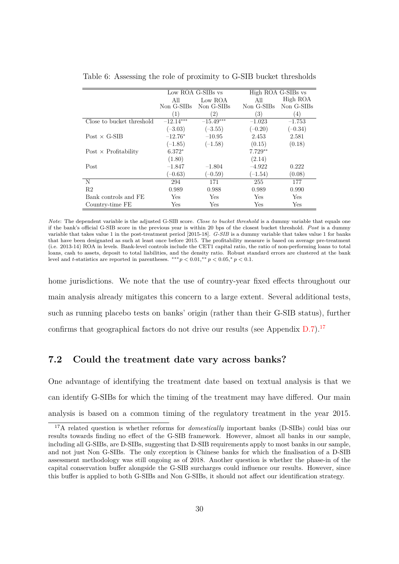|                             | Low ROA G-SIBs vs |             |            | High ROA G-SIBs vs |
|-----------------------------|-------------------|-------------|------------|--------------------|
|                             | All               | Low ROA     | All        | High ROA           |
|                             | Non G-SIBs        | Non G-SIBs  | Non G-SIBs | Non G-SIBs         |
|                             | (1)               | (2)         | (3)        | $\left(4\right)$   |
| Close to bucket threshold   | $-12.14***$       | $-15.49***$ | $-1.023$   | $-1.753$           |
|                             | $(-3.03)$         | $(-3.55)$   | $(-0.20)$  | $(-0.34)$          |
| $Post \times G-SIB$         | $-12.76*$         | $-10.95$    | 2.453      | 2.581              |
|                             | $(-1.85)$         | $(-1.58)$   | (0.15)     | (0.18)             |
| $Post \times Profitability$ | $6.372*$          |             | $7.729**$  |                    |
|                             | (1.80)            |             | (2.14)     |                    |
| Post                        | $-1.847$          | $-1.804$    | $-4.922$   | 0.222              |
|                             | $(-0.63)$         | $(-0.59)$   | $(-1.54)$  | (0.08)             |
| N                           | 294               | 171         | 255        | 177                |
| R <sub>2</sub>              | 0.989             | 0.988       | 0.989      | 0.990              |
| Bank controls and FE        | Yes               | Yes         | Yes        | Yes                |
| Country-time FE             | Yes               | Yes         | Yes        | Yes                |

<span id="page-30-0"></span>Table 6: Assessing the role of proximity to G-SIB bucket thresholds

*Note*: The dependent variable is the adjusted G-SIB score. *Close to bucket threshold* is a dummy variable that equals one if the bank's official G-SIB score in the previous year is within 20 bps of the closest bucket threshold. *P ost* is a dummy variable that takes value 1 in the post-treatment period [2015-18]. *G-SIB* is a dummy variable that takes value 1 for banks that have been designated as such at least once before 2015. The profitability measure is based on average pre-treatment (i.e. 2013-14) ROA in levels. Bank-level controls include the CET1 capital ratio, the ratio of non-performing loans to total loans, cash to assets, deposit to total liabilities, and the density ratio. Robust standard errors are clustered at the bank level and *t*-statistics are reported in parentheses.  $**p < 0.01$ ,  $* p < 0.05$ ,  $* p < 0.1$ .

home jurisdictions. We note that the use of country-year fixed effects throughout our main analysis already mitigates this concern to a large extent. Several additional tests, such as running placebo tests on banks' origin (rather than their G-SIB status), further confirms that geographical factors do not drive our results (see Appendix  $D.7$ ).<sup>[17](#page-30-1)</sup>

#### **7.2 Could the treatment date vary across banks?**

One advantage of identifying the treatment date based on textual analysis is that we can identify G-SIBs for which the timing of the treatment may have differed. Our main analysis is based on a common timing of the regulatory treatment in the year 2015.

<span id="page-30-1"></span><sup>&</sup>lt;sup>17</sup>A related question is whether reforms for *domestically* important banks (D-SIBs) could bias our results towards finding no effect of the G-SIB framework. However, almost all banks in our sample, including all G-SIBs, are D-SIBs, suggesting that D-SIB requirements apply to most banks in our sample, and not just Non G-SIBs. The only exception is Chinese banks for which the finalisation of a D-SIB assessment methodology was still ongoing as of 2018. Another question is whether the phase-in of the capital conservation buffer alongside the G-SIB surcharges could influence our results. However, since this buffer is applied to both G-SIBs and Non G-SIBs, it should not affect our identification strategy.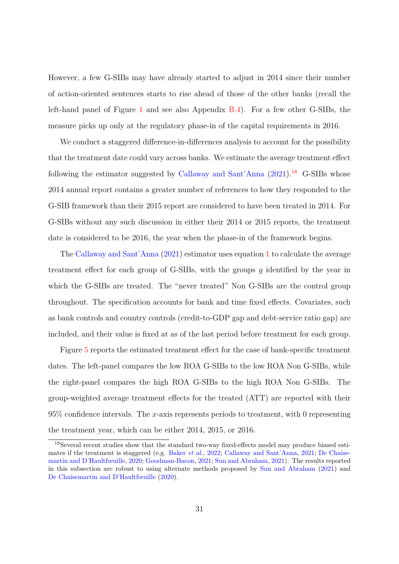However, a few G-SIBs may have already started to adjust in 2014 since their number of action-oriented sentences starts to rise ahead of those of the other banks (recall the left-hand panel of Figure [1](#page-9-0) and see also Appendix [B.4\)](#page-44-1). For a few other G-SIBs, the measure picks up only at the regulatory phase-in of the capital requirements in 2016.

We conduct a staggered difference-in-differences analysis to account for the possibility that the treatment date could vary across banks. We estimate the average treatment effect following the estimator suggested by [Callaway and Sant'Anna](#page-37-3)  $(2021).^{18}$  $(2021).^{18}$  $(2021).^{18}$  $(2021).^{18}$  G-SIBs whose 2014 annual report contains a greater number of references to how they responded to the G-SIB framework than their 2015 report are considered to have been treated in 2014. For G-SIBs without any such discussion in either their 2014 or 2015 reports, the treatment date is considered to be 2016, the year when the phase-in of the framework begins.

The [Callaway and Sant'Anna](#page-37-3) [\(2021\)](#page-37-3) estimator uses equation [1](#page-13-3) to calculate the average treatment effect for each group of G-SIBs, with the groups *g* identified by the year in which the G-SIBs are treated. The "never treated" Non G-SIBs are the control group throughout. The specification accounts for bank and time fixed effects. Covariates, such as bank controls and country controls (credit-to-GDP gap and debt-service ratio gap) are included, and their value is fixed at as of the last period before treatment for each group.

Figure [5](#page-32-0) reports the estimated treatment effect for the case of bank-specific treatment dates. The left-panel compares the low ROA G-SIBs to the low ROA Non G-SIBs, while the right-panel compares the high ROA G-SIBs to the high ROA Non G-SIBs. The group-weighted average treatment effects for the treated (ATT) are reported with their 95% confidence intervals. The *x*-axis represents periods to treatment, with 0 representing the treatment year, which can be either 2014, 2015, or 2016.

<span id="page-31-0"></span><sup>18</sup>Several recent studies show that the standard two-way fixed-effects model may produce biased estimates if the treatment is staggered (e.g. [Baker](#page-36-5) *et al.*, [2022;](#page-36-5) [Callaway and Sant'Anna,](#page-37-3) [2021;](#page-37-3) [De Chaise](#page-38-10)[martin and D'Haultfœuille,](#page-38-10) [2020;](#page-38-10) [Goodman-Bacon,](#page-39-8) [2021;](#page-39-8) [Sun and Abraham,](#page-40-6) [2021\)](#page-40-6). The results reported in this subsection are robust to using alternate methods proposed by [Sun and Abraham](#page-40-6) [\(2021\)](#page-40-6) and [De Chaisemartin and D'Haultfœuille](#page-38-10) [\(2020\)](#page-38-10).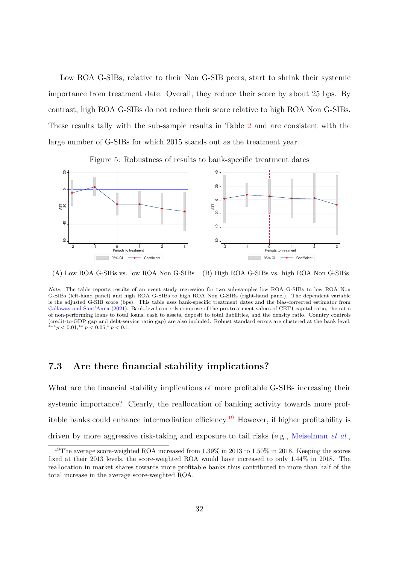Low ROA G-SIBs, relative to their Non G-SIB peers, start to shrink their systemic importance from treatment date. Overall, they reduce their score by about 25 bps. By contrast, high ROA G-SIBs do not reduce their score relative to high ROA Non G-SIBs. These results tally with the sub-sample results in Table [2](#page-19-0) and are consistent with the large number of G-SIBs for which 2015 stands out as the treatment year.

Figure 5: Robustness of results to bank-specific treatment dates

<span id="page-32-0"></span>

(A) Low ROA G-SIBs vs. low ROA Non G-SIBs (B) High ROA G-SIBs vs. high ROA Non G-SIBs

#### **7.3 Are there financial stability implications?**

What are the financial stability implications of more profitable G-SIBs increasing their systemic importance? Clearly, the reallocation of banking activity towards more prof-itable banks could enhance intermediation efficiency.<sup>[19](#page-32-1)</sup> However, if higher profitability is driven by more aggressive risk-taking and exposure to tail risks (e.g., [Meiselman](#page-40-0) *et al.*,

*Note*: The table reports results of an event study regression for two sub-samples low ROA G-SIBs to low ROA Non G-SIBs (left-hand panel) and high ROA G-SIBs to high ROA Non G-SIBs (right-hand panel). The dependent variable is the adjusted G-SIB score (bps). This table uses bank-specific treatment dates and the bias-corrected estimator from [Callaway and Sant'Anna](#page-37-3) [\(2021\)](#page-37-3). Bank-level controls comprise of the pre-treatment values of CET1 capital ratio, the ratio of non-performing loans to total loans, cash to assets, deposit to total liabilities, and the density ratio. Country controls (credit-to-GDP gap and debt-service ratio gap) are also included. Robust standard errors are clustered at the bank level.  $***p < 0.01, **p < 0.05, *p < 0.1.$ 

<span id="page-32-1"></span><sup>&</sup>lt;sup>19</sup>The average score-weighted ROA increased from 1.39% in 2013 to 1.50% in 2018. Keeping the scores fixed at their 2013 levels, the score-weighted ROA would have increased to only 1.44% in 2018. The reallocation in market shares towards more profitable banks thus contributed to more than half of the total increase in the average score-weighted ROA.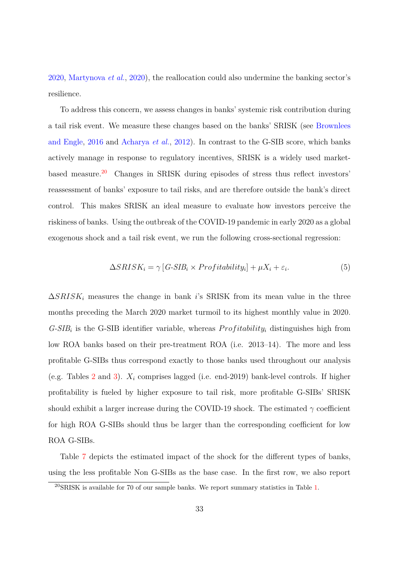[2020,](#page-40-0) [Martynova](#page-39-9) *et al.*, [2020\)](#page-39-9), the reallocation could also undermine the banking sector's resilience.

To address this concern, we assess changes in banks' systemic risk contribution during a tail risk event. We measure these changes based on the banks' SRISK (see [Brownlees](#page-37-4) [and Engle,](#page-37-4) [2016](#page-37-4) and [Acharya](#page-36-2) *et al.*, [2012\)](#page-36-2). In contrast to the G-SIB score, which banks actively manage in response to regulatory incentives, SRISK is a widely used marketbased measure.[20](#page-33-0) Changes in SRISK during episodes of stress thus reflect investors' reassessment of banks' exposure to tail risks, and are therefore outside the bank's direct control. This makes SRISK an ideal measure to evaluate how investors perceive the riskiness of banks. Using the outbreak of the COVID-19 pandemic in early 2020 as a global exogenous shock and a tail risk event, we run the following cross-sectional regression:

<span id="page-33-1"></span>
$$
\Delta SRISK_i = \gamma \left[ G\text{-}SIB_i \times Profitability_i \right] + \mu X_i + \varepsilon_i. \tag{5}
$$

 $\Delta SRISK_i$  measures the change in bank *i*'s SRISK from its mean value in the three months preceding the March 2020 market turmoil to its highest monthly value in 2020.  $G\text{-}SIB_i$  is the G-SIB identifier variable, whereas  $Profitability_i$  distinguishes high from low ROA banks based on their pre-treatment ROA (i.e. 2013–14). The more and less profitable G-SIBs thus correspond exactly to those banks used throughout our analysis (e.g. Tables [2](#page-19-0) and [3\)](#page-21-0). *X<sup>i</sup>* comprises lagged (i.e. end-2019) bank-level controls. If higher profitability is fueled by higher exposure to tail risk, more profitable G-SIBs' SRISK should exhibit a larger increase during the COVID-19 shock. The estimated  $\gamma$  coefficient for high ROA G-SIBs should thus be larger than the corresponding coefficient for low ROA G-SIBs.

Table [7](#page-34-0) depicts the estimated impact of the shock for the different types of banks, using the less profitable Non G-SIBs as the base case. In the first row, we also report

<span id="page-33-0"></span> $^{20}$ SRISK is available for 70 of our sample banks. We report summary statistics in Table [1.](#page-12-0)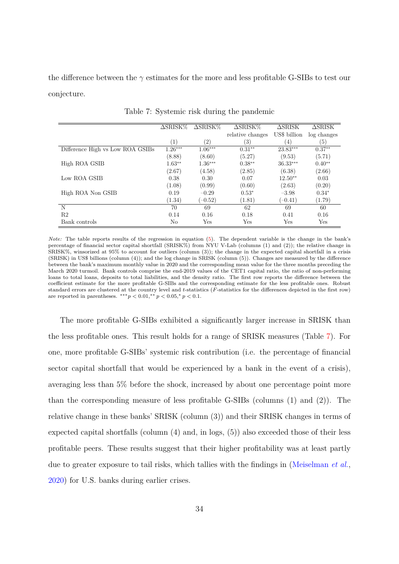the difference between the *γ* estimates for the more and less profitable G-SIBs to test our conjecture.

<span id="page-34-0"></span>

|                                  | $\Delta$ SRISK $\%$ | $\Delta$ SRISK $\%$ | $\Delta$ SRISK $\%$ | $\Delta$ SRISK | $\triangle$ SRISK |
|----------------------------------|---------------------|---------------------|---------------------|----------------|-------------------|
|                                  |                     |                     | relative changes    | US\$ billion   | log changes       |
|                                  | (1)                 | $\left( 2\right)$   | $\left( 3\right)$   | (4)            | $\left( 5\right)$ |
| Difference High vs Low ROA GSIBs | $1.26***$           | $1.06***$           | $0.31**$            | $23.83***$     | $0.37**$          |
|                                  | (8.88)              | (8.60)              | (5.27)              | (9.53)         | (5.71)            |
| High ROA GSIB                    | $1.63**$            | $1.36***$           | $0.38**$            | $36.33***$     | $0.40**$          |
|                                  | (2.67)              | (4.58)              | (2.85)              | (6.38)         | (2.66)            |
| Low ROA GSIB                     | 0.38                | 0.30                | 0.07                | $12.50**$      | 0.03              |
|                                  | (1.08)              | (0.99)              | (0.60)              | (2.63)         | (0.20)            |
| High ROA Non GSIB                | 0.19                | $-0.29$             | $0.53*$             | $-3.98$        | $0.34*$           |
|                                  | (1.34)              | $(-0.52)$           | (1.81)              | $(-0.41)$      | (1.79)            |
| N                                | 70                  | 69                  | 62                  | 69             | 60                |
| R <sub>2</sub>                   | 0.14                | 0.16                | 0.18                | 0.41           | 0.16              |
| Bank controls                    | No                  | Yes                 | Yes                 | Yes            | Yes               |

Table 7: Systemic risk during the pandemic

*Note:* The table reports results of the regression in equation [\(5\)](#page-33-1). The dependent variable is the change in the bank's percentage of financial sector capital shortfall (SRISK%) from NYU V-Lab (columns (1) and (2)); the relative change in SRISK%, winsorized at 95% to account for outliers (column (3)); the change in the expected capital shortfall in a crisis (SRISK) in US\$ billions (column (4)); and the log change in SRISK (column (5)). Changes are measured by the difference between the bank's maximum monthly value in 2020 and the corresponding mean value for the three months preceding the March 2020 turmoil. Bank controls comprise the end-2019 values of the CET1 capital ratio, the ratio of non-performing loans to total loans, deposits to total liabilities, and the density ratio. The first row reports the difference between the coefficient estimate for the more profitable G-SIBs and the corresponding estimate for the less profitable ones. Robust standard errors are clustered at the country level and *t*-statistics (*F*-statistics for the differences depicted in the first row) are reported in parentheses.  $***p < 0.01$ ,  $** p < 0.05$ ,  $p < 0.1$ .

The more profitable G-SIBs exhibited a significantly larger increase in SRISK than the less profitable ones. This result holds for a range of SRISK measures (Table [7\)](#page-34-0). For one, more profitable G-SIBs' systemic risk contribution (i.e. the percentage of financial sector capital shortfall that would be experienced by a bank in the event of a crisis), averaging less than 5% before the shock, increased by about one percentage point more than the corresponding measure of less profitable G-SIBs (columns (1) and (2)). The relative change in these banks' SRISK (column (3)) and their SRISK changes in terms of expected capital shortfalls (column  $(4)$  and, in logs,  $(5)$ ) also exceeded those of their less profitable peers. These results suggest that their higher profitability was at least partly due to greater exposure to tail risks, which tallies with the findings in [\(Meiselman](#page-40-0) *et al.*, [2020\)](#page-40-0) for U.S. banks during earlier crises.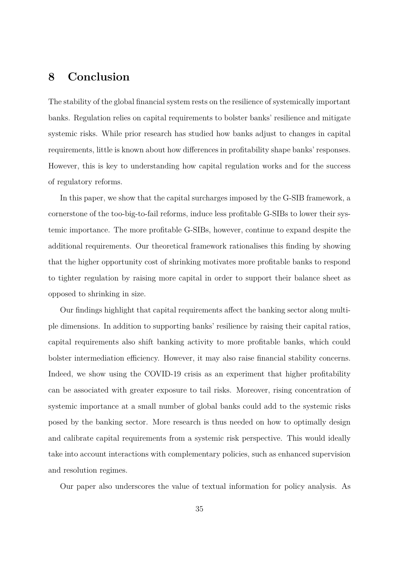## <span id="page-35-0"></span>**8 Conclusion**

The stability of the global financial system rests on the resilience of systemically important banks. Regulation relies on capital requirements to bolster banks' resilience and mitigate systemic risks. While prior research has studied how banks adjust to changes in capital requirements, little is known about how differences in profitability shape banks' responses. However, this is key to understanding how capital regulation works and for the success of regulatory reforms.

In this paper, we show that the capital surcharges imposed by the G-SIB framework, a cornerstone of the too-big-to-fail reforms, induce less profitable G-SIBs to lower their systemic importance. The more profitable G-SIBs, however, continue to expand despite the additional requirements. Our theoretical framework rationalises this finding by showing that the higher opportunity cost of shrinking motivates more profitable banks to respond to tighter regulation by raising more capital in order to support their balance sheet as opposed to shrinking in size.

Our findings highlight that capital requirements affect the banking sector along multiple dimensions. In addition to supporting banks' resilience by raising their capital ratios, capital requirements also shift banking activity to more profitable banks, which could bolster intermediation efficiency. However, it may also raise financial stability concerns. Indeed, we show using the COVID-19 crisis as an experiment that higher profitability can be associated with greater exposure to tail risks. Moreover, rising concentration of systemic importance at a small number of global banks could add to the systemic risks posed by the banking sector. More research is thus needed on how to optimally design and calibrate capital requirements from a systemic risk perspective. This would ideally take into account interactions with complementary policies, such as enhanced supervision and resolution regimes.

Our paper also underscores the value of textual information for policy analysis. As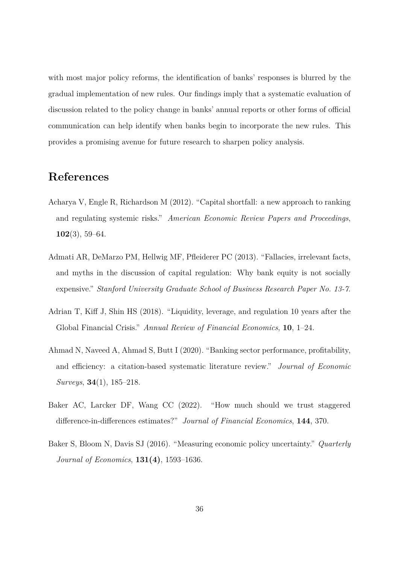with most major policy reforms, the identification of banks' responses is blurred by the gradual implementation of new rules. Our findings imply that a systematic evaluation of discussion related to the policy change in banks' annual reports or other forms of official communication can help identify when banks begin to incorporate the new rules. This provides a promising avenue for future research to sharpen policy analysis.

## **References**

- <span id="page-36-2"></span>Acharya V, Engle R, Richardson M (2012). "Capital shortfall: a new approach to ranking and regulating systemic risks." *American Economic Review Papers and Proceedings*, **102**(3), 59–64.
- <span id="page-36-0"></span>Admati AR, DeMarzo PM, Hellwig MF, Pfleiderer PC (2013). "Fallacies, irrelevant facts, and myths in the discussion of capital regulation: Why bank equity is not socially expensive." *Stanford University Graduate School of Business Research Paper No. 13-7*.
- <span id="page-36-3"></span>Adrian T, Kiff J, Shin HS (2018). "Liquidity, leverage, and regulation 10 years after the Global Financial Crisis." *Annual Review of Financial Economics*, **10**, 1–24.
- <span id="page-36-1"></span>Ahmad N, Naveed A, Ahmad S, Butt I (2020). "Banking sector performance, profitability, and efficiency: a citation-based systematic literature review." *Journal of Economic Surveys*, **34**(1), 185–218.
- <span id="page-36-5"></span>Baker AC, Larcker DF, Wang CC (2022). "How much should we trust staggered difference-in-differences estimates?" *Journal of Financial Economics*, **144**, 370.
- <span id="page-36-4"></span>Baker S, Bloom N, Davis SJ (2016). "Measuring economic policy uncertainty." *Quarterly Journal of Economics*, **131(4)**, 1593–1636.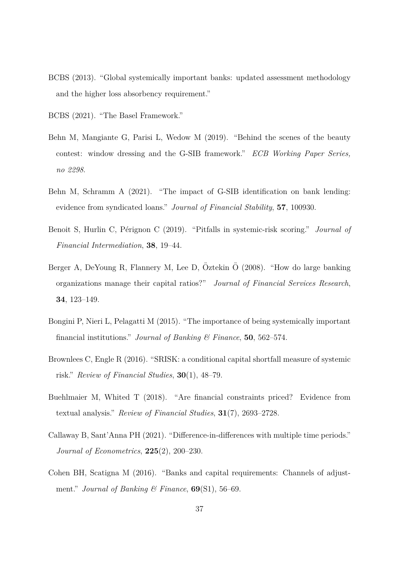- <span id="page-37-2"></span>BCBS (2013). "Global systemically important banks: updated assessment methodology and the higher loss absorbency requirement."
- <span id="page-37-1"></span>BCBS (2021). "The Basel Framework."
- <span id="page-37-9"></span>Behn M, Mangiante G, Parisi L, Wedow M (2019). "Behind the scenes of the beauty contest: window dressing and the G-SIB framework." *ECB Working Paper Series, no 2298*.
- <span id="page-37-7"></span>Behn M, Schramm A (2021). "The impact of G-SIB identification on bank lending: evidence from syndicated loans." *Journal of Financial Stability*, **57**, 100930.
- <span id="page-37-10"></span>Benoit S, Hurlin C, Pérignon C (2019). "Pitfalls in systemic-risk scoring." *Journal of Financial Intermediation*, **38**, 19–44.
- <span id="page-37-0"></span>Berger A, DeYoung R, Flannery M, Lee D, Öztekin Ö (2008). "How do large banking organizations manage their capital ratios?" *Journal of Financial Services Research*, **34**, 123–149.
- <span id="page-37-8"></span>Bongini P, Nieri L, Pelagatti M (2015). "The importance of being systemically important financial institutions." *Journal of Banking & Finance*, **50**, 562–574.
- <span id="page-37-4"></span>Brownlees C, Engle R (2016). "SRISK: a conditional capital shortfall measure of systemic risk." *Review of Financial Studies*, **30**(1), 48–79.
- <span id="page-37-6"></span>Buehlmaier M, Whited T (2018). "Are financial constraints priced? Evidence from textual analysis." *Review of Financial Studies*, **31**(7), 2693–2728.
- <span id="page-37-3"></span>Callaway B, Sant'Anna PH (2021). "Difference-in-differences with multiple time periods." *Journal of Econometrics*, **225**(2), 200–230.
- <span id="page-37-5"></span>Cohen BH, Scatigna M (2016). "Banks and capital requirements: Channels of adjustment." *Journal of Banking & Finance*, **69**(S1), 56–69.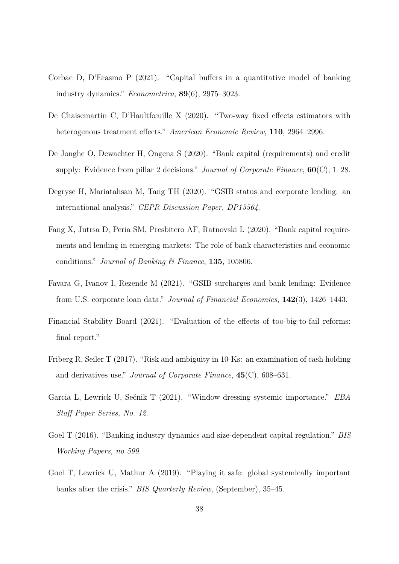- <span id="page-38-6"></span>Corbae D, D'Erasmo P (2021). "Capital buffers in a quantitative model of banking industry dynamics." *Econometrica*, **89**(6), 2975–3023.
- <span id="page-38-10"></span>De Chaisemartin C, D'Haultfœuille X (2020). "Two-way fixed effects estimators with heterogenous treatment effects." *American Economic Review*, **110**, 2964–2996.
- <span id="page-38-1"></span>De Jonghe O, Dewachter H, Ongena S (2020). "Bank capital (requirements) and credit supply: Evidence from pillar 2 decisions." *Journal of Corporate Finance*, **60**(C), 1–28.
- <span id="page-38-5"></span>Degryse H, Mariatahsan M, Tang TH (2020). "GSIB status and corporate lending: an international analysis." *CEPR Discussion Paper, DP15564*.
- <span id="page-38-0"></span>Fang X, Jutrsa D, Peria SM, Presbitero AF, Ratnovski L (2020). "Bank capital requirements and lending in emerging markets: The role of bank characteristics and economic conditions." *Journal of Banking & Finance*, **135**, 105806.
- <span id="page-38-9"></span>Favara G, Ivanov I, Rezende M (2021). "GSIB surcharges and bank lending: Evidence from U.S. corporate loan data." *Journal of Financial Economics*, **142**(3), 1426–1443.
- <span id="page-38-2"></span>Financial Stability Board (2021). "Evaluation of the effects of too-big-to-fail reforms: final report."
- <span id="page-38-3"></span>Friberg R, Seiler T (2017). "Risk and ambiguity in 10-Ks: an examination of cash holding and derivatives use." *Journal of Corporate Finance*, **45**(C), 608–631.
- <span id="page-38-8"></span>Garcia L, Lewrick U, Sečnik T (2021). "Window dressing systemic importance." *EBA Staff Paper Series, No. 12*.
- <span id="page-38-7"></span>Goel T (2016). "Banking industry dynamics and size-dependent capital regulation." *BIS Working Papers, no 599*.
- <span id="page-38-4"></span>Goel T, Lewrick U, Mathur A (2019). "Playing it safe: global systemically important banks after the crisis." *BIS Quarterly Review*, (September), 35–45.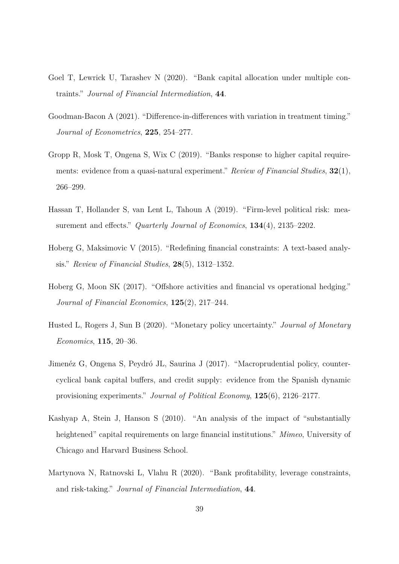- <span id="page-39-3"></span>Goel T, Lewrick U, Tarashev N (2020). "Bank capital allocation under multiple contraints." *Journal of Financial Intermediation*, **44**.
- <span id="page-39-8"></span>Goodman-Bacon A (2021). "Difference-in-differences with variation in treatment timing." *Journal of Econometrics*, **225**, 254–277.
- <span id="page-39-0"></span>Gropp R, Mosk T, Ongena S, Wix C (2019). "Banks response to higher capital requirements: evidence from a quasi-natural experiment." *Review of Financial Studies*, **32**(1), 266–299.
- <span id="page-39-6"></span>Hassan T, Hollander S, van Lent L, Tahoun A (2019). "Firm-level political risk: measurement and effects." *Quarterly Journal of Economics*, **134**(4), 2135–2202.
- <span id="page-39-4"></span>Hoberg G, Maksimovic V (2015). "Redefining financial constraints: A text-based analysis." *Review of Financial Studies*, **28**(5), 1312–1352.
- <span id="page-39-5"></span>Hoberg G, Moon SK (2017). "Offshore activities and financial vs operational hedging." *Journal of Financial Economics*, **125**(2), 217–244.
- <span id="page-39-7"></span>Husted L, Rogers J, Sun B (2020). "Monetary policy uncertainty." *Journal of Monetary Economics*, **115**, 20–36.
- <span id="page-39-1"></span>Jimenéz G, Ongena S, Peydró JL, Saurina J (2017). "Macroprudential policy, countercyclical bank capital buffers, and credit supply: evidence from the Spanish dynamic provisioning experiments." *Journal of Political Economy*, **125**(6), 2126–2177.
- <span id="page-39-2"></span>Kashyap A, Stein J, Hanson S (2010). "An analysis of the impact of "substantially heightened" capital requirements on large financial institutions." *Mimeo*, University of Chicago and Harvard Business School.
- <span id="page-39-9"></span>Martynova N, Ratnovski L, Vlahu R (2020). "Bank profitability, leverage constraints, and risk-taking." *Journal of Financial Intermediation*, **44**.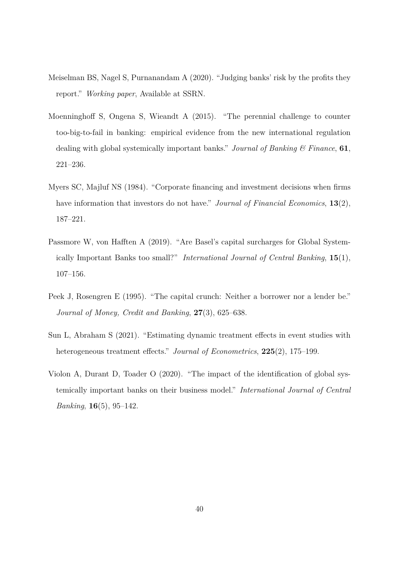- <span id="page-40-0"></span>Meiselman BS, Nagel S, Purnanandam A (2020). "Judging banks' risk by the profits they report." *Working paper*, Available at SSRN.
- <span id="page-40-4"></span>Moenninghoff S, Ongena S, Wieandt A (2015). "The perennial challenge to counter too-big-to-fail in banking: empirical evidence from the new international regulation dealing with global systemically important banks." *Journal of Banking & Finance*, **61**, 221–236.
- <span id="page-40-5"></span>Myers SC, Majluf NS (1984). "Corporate financing and investment decisions when firms have information that investors do not have." *Journal of Financial Economics*, **13**(2), 187–221.
- <span id="page-40-3"></span>Passmore W, von Hafften A (2019). "Are Basel's capital surcharges for Global Systemically Important Banks too small?" *International Journal of Central Banking*, **15**(1), 107–156.
- <span id="page-40-1"></span>Peek J, Rosengren E (1995). "The capital crunch: Neither a borrower nor a lender be." *Journal of Money, Credit and Banking*, **27**(3), 625–638.
- <span id="page-40-6"></span>Sun L, Abraham S (2021). "Estimating dynamic treatment effects in event studies with heterogeneous treatment effects." *Journal of Econometrics*, **225**(2), 175–199.
- <span id="page-40-2"></span>Violon A, Durant D, Toader O (2020). "The impact of the identification of global systemically important banks on their business model." *International Journal of Central Banking*, **16**(5), 95–142.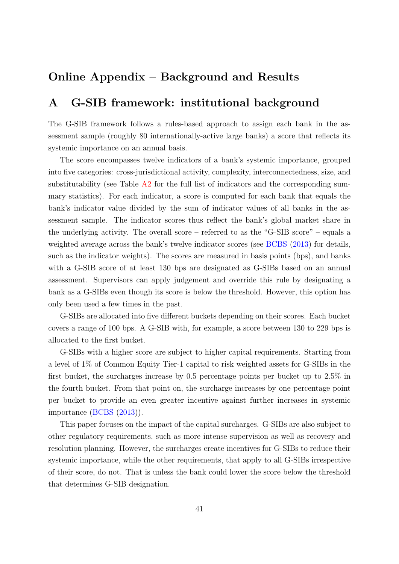## **Online Appendix – Background and Results**

## <span id="page-41-0"></span>**A G-SIB framework: institutional background**

The G-SIB framework follows a rules-based approach to assign each bank in the assessment sample (roughly 80 internationally-active large banks) a score that reflects its systemic importance on an annual basis.

The score encompasses twelve indicators of a bank's systemic importance, grouped into five categories: cross-jurisdictional activity, complexity, interconnectedness, size, and substitutability (see Table [A2](#page-45-1) for the full list of indicators and the corresponding summary statistics). For each indicator, a score is computed for each bank that equals the bank's indicator value divided by the sum of indicator values of all banks in the assessment sample. The indicator scores thus reflect the bank's global market share in the underlying activity. The overall score – referred to as the "G-SIB score" – equals a weighted average across the bank's twelve indicator scores (see [BCBS](#page-37-2) [\(2013\)](#page-37-2) for details, such as the indicator weights). The scores are measured in basis points (bps), and banks with a G-SIB score of at least 130 bps are designated as G-SIBs based on an annual assessment. Supervisors can apply judgement and override this rule by designating a bank as a G-SIBs even though its score is below the threshold. However, this option has only been used a few times in the past.

G-SIBs are allocated into five different buckets depending on their scores. Each bucket covers a range of 100 bps. A G-SIB with, for example, a score between 130 to 229 bps is allocated to the first bucket.

G-SIBs with a higher score are subject to higher capital requirements. Starting from a level of 1% of Common Equity Tier-1 capital to risk weighted assets for G-SIBs in the first bucket, the surcharges increase by 0.5 percentage points per bucket up to 2.5% in the fourth bucket. From that point on, the surcharge increases by one percentage point per bucket to provide an even greater incentive against further increases in systemic importance [\(BCBS](#page-37-2) [\(2013\)](#page-37-2)).

This paper focuses on the impact of the capital surcharges. G-SIBs are also subject to other regulatory requirements, such as more intense supervision as well as recovery and resolution planning. However, the surcharges create incentives for G-SIBs to reduce their systemic importance, while the other requirements, that apply to all G-SIBs irrespective of their score, do not. That is unless the bank could lower the score below the threshold that determines G-SIB designation.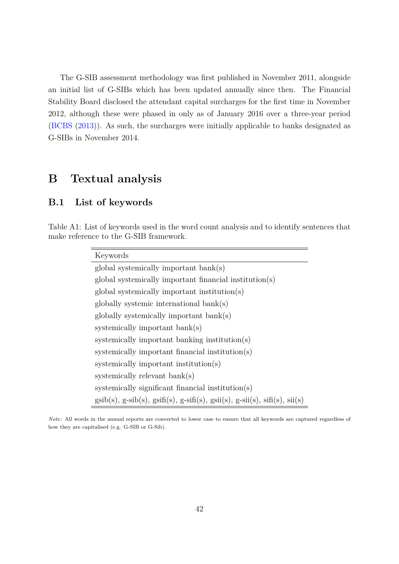The G-SIB assessment methodology was first published in November 2011, alongside an initial list of G-SIBs which has been updated annually since then. The Financial Stability Board disclosed the attendant capital surcharges for the first time in November 2012, although these were phased in only as of January 2016 over a three-year period [\(BCBS](#page-37-2) [\(2013\)](#page-37-2)). As such, the surcharges were initially applicable to banks designated as G-SIBs in November 2014.

## **B Textual analysis**

## <span id="page-42-0"></span>**B.1 List of keywords**

Table A1: List of keywords used in the word count analysis and to identify sentences that make reference to the G-SIB framework.

| Keywords                                                                                                                                               |
|--------------------------------------------------------------------------------------------------------------------------------------------------------|
| $global$ systemically important bank $(s)$                                                                                                             |
| global systemically important financial institution(s)                                                                                                 |
| global systemically important institution(s)                                                                                                           |
| $globally$ systemic international $bank(s)$                                                                                                            |
| globally systemically important bank(s)                                                                                                                |
| systemically important bank(s)                                                                                                                         |
| systemically important banking institution(s)                                                                                                          |
| systemically important financial institution(s)                                                                                                        |
| systemically important institution(s)                                                                                                                  |
| systemically relevant bank(s)                                                                                                                          |
| systemically significant financial institution(s)                                                                                                      |
| $\text{gsib}(s)$ , $\text{g-sib}(s)$ , $\text{gsif}(s)$ , $\text{g-sif}(s)$ , $\text{gsii}(s)$ , $\text{g-sii}(s)$ , $\text{sifi}(s)$ , $\text{si}(s)$ |

*Note:* All words in the annual reports are converted to lower case to ensure that all keywords are captured regardless of how they are capitalised (e.g. G-SIB or G-Sib).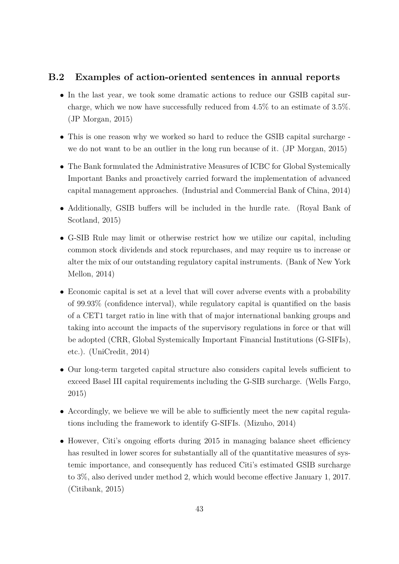#### <span id="page-43-0"></span>**B.2 Examples of action-oriented sentences in annual reports**

- In the last year, we took some dramatic actions to reduce our GSIB capital surcharge, which we now have successfully reduced from 4.5% to an estimate of 3.5%. (JP Morgan, 2015)
- This is one reason why we worked so hard to reduce the GSIB capital surcharge we do not want to be an outlier in the long run because of it. (JP Morgan, 2015)
- The Bank formulated the Administrative Measures of ICBC for Global Systemically Important Banks and proactively carried forward the implementation of advanced capital management approaches. (Industrial and Commercial Bank of China, 2014)
- Additionally, GSIB buffers will be included in the hurdle rate. (Royal Bank of Scotland, 2015)
- G-SIB Rule may limit or otherwise restrict how we utilize our capital, including common stock dividends and stock repurchases, and may require us to increase or alter the mix of our outstanding regulatory capital instruments. (Bank of New York Mellon, 2014)
- Economic capital is set at a level that will cover adverse events with a probability of 99.93% (confidence interval), while regulatory capital is quantified on the basis of a CET1 target ratio in line with that of major international banking groups and taking into account the impacts of the supervisory regulations in force or that will be adopted (CRR, Global Systemically Important Financial Institutions (G-SIFIs), etc.). (UniCredit, 2014)
- Our long-term targeted capital structure also considers capital levels sufficient to exceed Basel III capital requirements including the G-SIB surcharge. (Wells Fargo, 2015)
- Accordingly, we believe we will be able to sufficiently meet the new capital regulations including the framework to identify G-SIFIs. (Mizuho, 2014)
- However, Citi's ongoing efforts during 2015 in managing balance sheet efficiency has resulted in lower scores for substantially all of the quantitative measures of systemic importance, and consequently has reduced Citi's estimated GSIB surcharge to 3%, also derived under method 2, which would become effective January 1, 2017. (Citibank, 2015)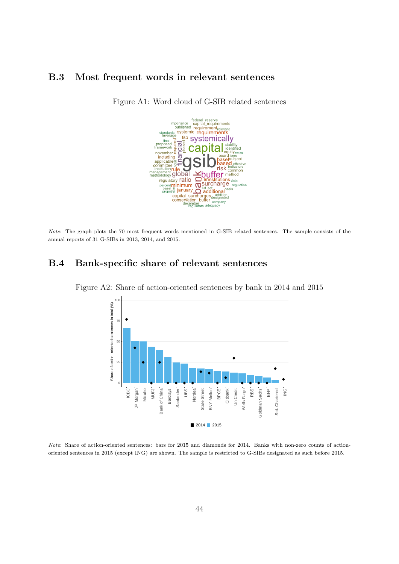#### <span id="page-44-0"></span>**B.3 Most frequent words in relevant sentences**



Figure A1: Word cloud of G-SIB related sentences

*Note*: The graph plots the 70 most frequent words mentioned in G-SIB related sentences. The sample consists of the annual reports of 31 G-SIBs in 2013, 2014, and 2015.

#### <span id="page-44-1"></span>**B.4 Bank-specific share of relevant sentences**



Figure A2: Share of action-oriented sentences by bank in 2014 and 2015

*Note*: Share of action-oriented sentences: bars for 2015 and diamonds for 2014. Banks with non-zero counts of actionoriented sentences in 2015 (except ING) are shown. The sample is restricted to G-SIBs designated as such before 2015.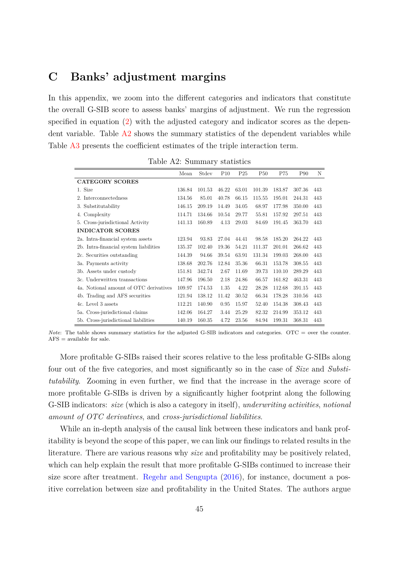## <span id="page-45-0"></span>**C Banks' adjustment margins**

In this appendix, we zoom into the different categories and indicators that constitute the overall G-SIB score to assess banks' margins of adjustment. We run the regression specified in equation [\(2\)](#page-16-0) with the adjusted category and indicator scores as the dependent variable. Table [A2](#page-45-1) shows the summary statistics of the dependent variables while Table [A3](#page-46-0) presents the coefficient estimates of the triple interaction term.

<span id="page-45-1"></span>

|                                        | Mean   | Stdev  | P <sub>10</sub> | P <sub>25</sub> | <b>P50</b> | P75    | P <sub>90</sub> | N   |
|----------------------------------------|--------|--------|-----------------|-----------------|------------|--------|-----------------|-----|
| <b>CATEGORY SCORES</b>                 |        |        |                 |                 |            |        |                 |     |
| 1. Size                                | 136.84 | 101.53 | 46.22           | 63.01           | 101.39     | 183.87 | 307.36          | 443 |
| Interconnectedness<br>2.               | 134.56 | 85.01  | 40.78           | 66.15           | 115.55     | 195.01 | 244.31          | 443 |
| 3. Substitutability                    | 146.15 | 209.19 | 14.49           | 34.05           | 68.97      | 177.98 | 350.00          | 443 |
| Complexity<br>4.                       | 114.71 | 134.66 | 10.54           | 29.77           | 55.81      | 157.92 | 297.51          | 443 |
| 5. Cross-jurisdictional Activity       | 141.13 | 160.89 | 4.13            | 29.03           | 84.69      | 191.45 | 363.70          | 443 |
| <b>INDICATOR SCORES</b>                |        |        |                 |                 |            |        |                 |     |
| 2a. Intra-financial system assets      | 123.94 | 93.83  | 27.04           | 44.41           | 98.58      | 185.20 | 264.22          | 443 |
| 2b. Intra-financial system liabilities | 135.37 | 102.40 | 19.36           | 54.21           | 111.37     | 201.01 | 266.62          | 443 |
| 2c. Securities outstanding             | 144.39 | 94.66  | 39.54           | 63.91           | 131.34     | 199.03 | 268.00          | 443 |
| 3a. Payments activity                  | 138.68 | 202.76 | 12.84           | 35.36           | 66.31      | 153.78 | 308.55          | 443 |
| 3b. Assets under custody               | 151.81 | 342.74 | 2.67            | 11.69           | 39.73      | 110.10 | 289.29          | 443 |
| 3c. Underwritten transactions          | 147.96 | 196.50 | 2.18            | 24.86           | 66.57      | 161.82 | 463.31          | 443 |
| 4a. Notional amount of OTC derivatives | 109.97 | 174.53 | 1.35            | 4.22            | 28.28      | 112.68 | 391.15          | 443 |
| 4b. Trading and AFS securities         | 121.94 | 138.12 | 11.42           | 30.52           | 66.34      | 178.28 | 310.56          | 443 |
| 4c. Level 3 assets                     | 112.21 | 140.90 | 0.95            | 15.97           | 52.40      | 154.38 | 308.43          | 443 |
| 5a. Cross-jurisdictional claims        | 142.06 | 164.27 | 3.44            | 25.29           | 82.32      | 214.99 | 353.12          | 443 |
| 5b. Cross-jurisdictional liabilities   | 140.19 | 160.35 | 4.72            | 23.56           | 84.94      | 199.31 | 368.31          | 443 |

Table A2: Summary statistics

*Note*: The table shows summary statistics for the adjusted G-SIB indicators and categories. OTC = over the counter.  $AFS = available for sale.$ 

More profitable G-SIBs raised their scores relative to the less profitable G-SIBs along four out of the five categories, and most significantly so in the case of *Size* and *Substitutability*. Zooming in even further, we find that the increase in the average score of more profitable G-SIBs is driven by a significantly higher footprint along the following G-SIB indicators: *size* (which is also a category in itself), *underwriting activities*, *notional amount of OTC derivatives*, and *cross-jurisdictional liabilities*.

While an in-depth analysis of the causal link between these indicators and bank profitability is beyond the scope of this paper, we can link our findings to related results in the literature. There are various reasons why *size* and profitability may be positively related, which can help explain the result that more profitable G-SIBs continued to increase their size score after treatment. [Regehr and Sengupta](#page-55-0) [\(2016\)](#page-55-0), for instance, document a positive correlation between size and profitability in the United States. The authors argue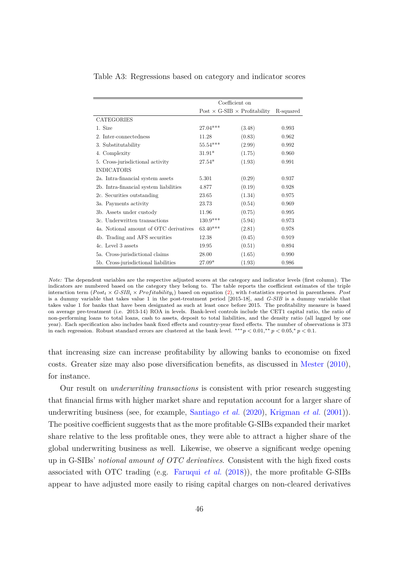|                                        | Coefficient on                             |        |           |  |  |
|----------------------------------------|--------------------------------------------|--------|-----------|--|--|
|                                        | Post $\times$ G-SIB $\times$ Profitability |        | R-squared |  |  |
| <b>CATEGORIES</b>                      |                                            |        |           |  |  |
| 1. Size                                | 27.04***                                   | (3.48) | 0.993     |  |  |
| 2. Inter-connectedness                 | 11.28                                      | (0.83) | 0.962     |  |  |
| 3. Substitutability                    | $55.54***$                                 | (2.99) | 0.992     |  |  |
| 4. Complexity                          | $31.91*$                                   | (1.75) | 0.960     |  |  |
| 5. Cross-jurisdictional activity       | $27.54*$                                   | (1.93) | 0.991     |  |  |
| <b>INDICATORS</b>                      |                                            |        |           |  |  |
| 2a. Intra-financial system assets      | 5.301                                      | (0.29) | 0.937     |  |  |
| 2b. Intra-financial system liabilities | 4.877                                      | (0.19) | 0.928     |  |  |
| 2c. Securities outstanding             | 23.65                                      | (1.34) | 0.975     |  |  |
| 3a. Payments activity                  | 23.73                                      | (0.54) | 0.969     |  |  |
| 3b. Assets under custody               | 11.96                                      | (0.75) | 0.995     |  |  |
| 3c. Underwritten transactions          | $130.9***$                                 | (5.94) | 0.973     |  |  |
| 4a. Notional amount of OTC derivatives | $63.40***$                                 | (2.81) | 0.978     |  |  |
| 4b. Trading and AFS securities         | 12.38                                      | (0.45) | 0.919     |  |  |
| 4c. Level 3 assets                     | 19.95                                      | (0.51) | 0.894     |  |  |
| 5a. Cross-jurisdictional claims        | 28.00                                      | (1.65) | 0.990     |  |  |
| 5b. Cross-jurisdictional liabilities   | $27.09*$                                   | (1.93) | 0.986     |  |  |

<span id="page-46-0"></span>Table A3: Regressions based on category and indicator scores

*Note:* The dependent variables are the respective adjusted scores at the category and indicator levels (first column). The indicators are numbered based on the category they belong to. The table reports the coefficient estimates of the triple interaction term  $(Post_t \times G\text{-}SIB_i \times Profitability_i)$  based on equation [\(2\)](#page-16-0), with *t*-statistics reported in parentheses. Post is a dummy variable that takes value 1 in the post-treatment period [2015-18], and *G-SIB* is a dummy variable that takes value 1 for banks that have been designated as such at least once before 2015. The profitability measure is based on average pre-treatment (i.e. 2013-14) ROA in levels. Bank-level controls include the CET1 capital ratio, the ratio of non-performing loans to total loans, cash to assets, deposit to total liabilities, and the density ratio (all lagged by one year). Each specification also includes bank fixed effects and country-year fixed effects. The number of observations is 373 in each regression. Robust standard errors are clustered at the bank level.  $***p < 0.01, **p < 0.05, *p < 0.1$ .

that increasing size can increase profitability by allowing banks to economise on fixed costs. Greater size may also pose diversification benefits, as discussed in [Mester](#page-55-1) [\(2010\)](#page-55-1), for instance.

Our result on *underwriting transactions* is consistent with prior research suggesting that financial firms with higher market share and reputation account for a larger share of underwriting business (see, for example, [Santiago](#page-55-2) *et al.* [\(2020\)](#page-55-2), [Krigman](#page-55-3) *et al.* [\(2001\)](#page-55-3)). The positive coefficient suggests that as the more profitable G-SIBs expanded their market share relative to the less profitable ones, they were able to attract a higher share of the global underwriting business as well. Likewise, we observe a significant wedge opening up in G-SIBs' *notional amount of OTC derivatives*. Consistent with the high fixed costs associated with OTC trading (e.g. [Faruqui](#page-55-4) *et al.* [\(2018\)](#page-55-4)), the more profitable G-SIBs appear to have adjusted more easily to rising capital charges on non-cleared derivatives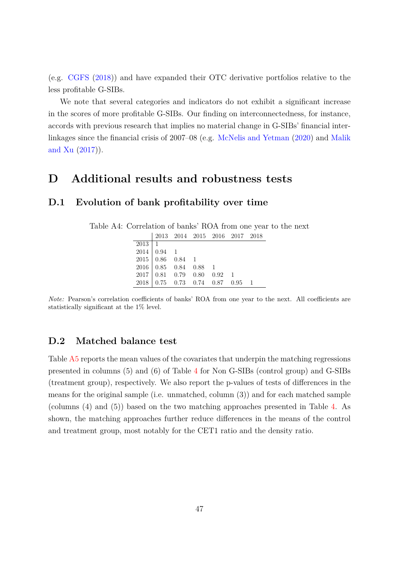(e.g. [CGFS](#page-55-5) [\(2018\)](#page-55-5)) and have expanded their OTC derivative portfolios relative to the less profitable G-SIBs.

We note that several categories and indicators do not exhibit a significant increase in the scores of more profitable G-SIBs. Our finding on interconnectedness, for instance, accords with previous research that implies no material change in G-SIBs' financial interlinkages since the financial crisis of 2007–08 (e.g. [McNelis and Yetman](#page-55-6) [\(2020\)](#page-55-6) and [Malik](#page-55-7) [and Xu](#page-55-7) [\(2017\)](#page-55-7)).

## **D Additional results and robustness tests**

#### <span id="page-47-0"></span>**D.1 Evolution of bank profitability over time**

| Table A4: Correlation of banks' ROA from one year to the next |  |  |
|---------------------------------------------------------------|--|--|
|---------------------------------------------------------------|--|--|

|               |                                                                                                              |  | 2013 2014 2015 2016 2017 2018 |  |
|---------------|--------------------------------------------------------------------------------------------------------------|--|-------------------------------|--|
| $2013 \mid 1$ |                                                                                                              |  |                               |  |
|               |                                                                                                              |  |                               |  |
|               |                                                                                                              |  |                               |  |
|               | $\begin{array}{c cc} 2014 & 0.94 & 1 \\ 2015 & 0.86 & 0.84 & 1 \\ 2016 & 0.85 & 0.84 & 0.88 & 1 \end{array}$ |  |                               |  |
|               | $2017$ 0.81 0.79 0.80 0.92 1                                                                                 |  |                               |  |
|               | $2018$ 0.75 0.73 0.74 0.87 0.95 1                                                                            |  |                               |  |

*Note:* Pearson's correlation coefficients of banks' ROA from one year to the next. All coefficients are statistically significant at the 1% level.

#### <span id="page-47-1"></span>**D.2 Matched balance test**

Table [A5](#page-48-1) reports the mean values of the covariates that underpin the matching regressions presented in columns (5) and (6) of Table [4](#page-22-0) for Non G-SIBs (control group) and G-SIBs (treatment group), respectively. We also report the p-values of tests of differences in the means for the original sample (i.e. unmatched, column (3)) and for each matched sample (columns (4) and (5)) based on the two matching approaches presented in Table [4.](#page-22-0) As shown, the matching approaches further reduce differences in the means of the control and treatment group, most notably for the CET1 ratio and the density ratio.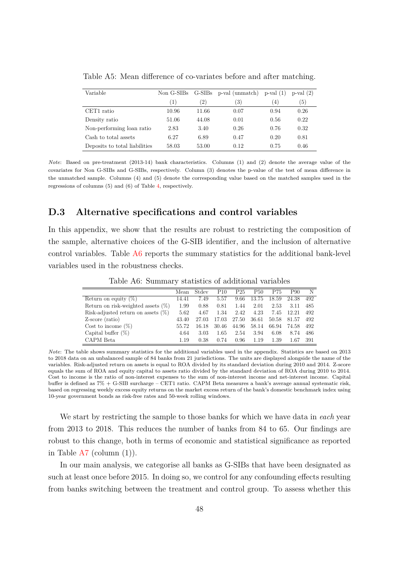| Variable                      | Non G-SIBs       |       | G-SIBs p-val (unmatch) | $p-value(1)$     | $p-value(2)$ |
|-------------------------------|------------------|-------|------------------------|------------------|--------------|
|                               | $\left(1\right)$ | (2)   | 3)                     | $\left(4\right)$ | (5)          |
| CET1 ratio                    | 10.96            | 11.66 | 0.07                   | 0.94             | 0.26         |
| Density ratio                 | 51.06            | 44.08 | 0.01                   | 0.56             | 0.22         |
| Non-performing loan ratio     | 2.83             | 3.40  | 0.26                   | 0.76             | 0.32         |
| Cash to total assets          | 6.27             | 6.89  | 0.47                   | 0.20             | 0.81         |
| Deposits to total liabilities | 58.03            | 53.00 | 0.12                   | 0.75             | 0.46         |

<span id="page-48-1"></span>Table A5: Mean difference of co-variates before and after matching.

*Note*: Based on pre-treatment (2013-14) bank characteristics. Columns (1) and (2) denote the average value of the covariates for Non G-SIBs and G-SIBs, respectively. Column (3) denotes the p-value of the test of mean difference in the unmatched sample. Columns (4) and (5) denote the corresponding value based on the matched samples used in the regressions of columns (5) and (6) of Table [4,](#page-22-0) respectively.

#### <span id="page-48-0"></span>**D.3 Alternative specifications and control variables**

In this appendix, we show that the results are robust to restricting the composition of the sample, alternative choices of the G-SIB identifier, and the inclusion of alternative control variables. Table [A6](#page-48-2) reports the summary statistics for the additional bank-level variables used in the robustness checks.

<span id="page-48-2"></span>

|                                       | Mean  | Stdev | P10   | P <sub>25</sub> | P50   | P75   | P90      | N   |
|---------------------------------------|-------|-------|-------|-----------------|-------|-------|----------|-----|
| Return on equity $(\%)$               | 14.41 | 7.49  | 5.57  | 9.66            | 13.75 | 18.59 | 24.38    | 492 |
| Return on risk-weighted assets $(\%)$ | 1.99  | 0.88  | 0.81  | 1.44            | 2.01  | 2.53  | 3.11     | 485 |
| Risk-adjusted return on assets $(\%)$ | 5.62  | 4.67  | 1.34  | 2.42            | 4.23  | 7.45  | 12.21    | 492 |
| Z-score (ratio)                       | 43.40 | 27.03 | 17.03 | 27.50           | 36.61 | 50.58 | 81.57    | 492 |
| Cost to income $(\%)$                 | 55.72 | 16.18 | 30.46 | 44.96           | 58.14 | 66.94 | 74.58    | 492 |
| Capital buffer $(\%)$                 | 4.64  | 3.03  | 1.65  | 2.54            | 3.94  | 6.08  | 8.74     | 486 |
| CAPM Beta                             | 1.19  | 0.38  | 0.74  | 0.96            | 1.19  | 1.39  | $1.67\,$ | 391 |

Table A6: Summary statistics of additional variables

*Note*: The table shows summary statistics for the additional variables used in the appendix. Statistics are based on 2013 to 2018 data on an unbalanced sample of 84 banks from 21 jurisdictions. The units are displayed alongside the name of the variables. Risk-adjusted return on assets is equal to ROA divided by its standard deviation during 2010 and 2014. Z-score equals the sum of ROA and equity capital to assets ratio divided by the standard deviation of ROA during 2010 to 2014. Cost to income is the ratio of non-interest expenses to the sum of non-interest income and net-interest income. Capital buffer is defined as 7% + G-SIB surcharge – CET1 ratio. CAPM Beta measures a bank's average annual systematic risk, based on regressing weekly excess equity returns on the market excess return of the bank's domestic benchmark index using 10-year government bonds as risk-free rates and 50-week rolling windows.

We start by restricting the sample to those banks for which we have data in *each* year from 2013 to 2018. This reduces the number of banks from 84 to 65. Our findings are robust to this change, both in terms of economic and statistical significance as reported in Table  $A7$  (column  $(1)$ ).

In our main analysis, we categorise all banks as G-SIBs that have been designated as such at least once before 2015. In doing so, we control for any confounding effects resulting from banks switching between the treatment and control group. To assess whether this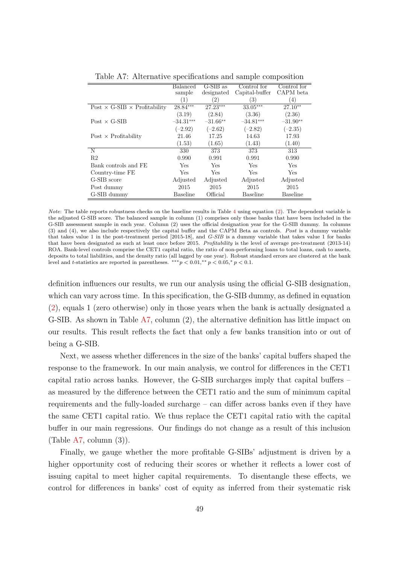<span id="page-49-0"></span>

|                                            | Balanced        | $G-SIB$ as                      | Control for<br>Capital-buffer | Control for<br>CAPM beta |
|--------------------------------------------|-----------------|---------------------------------|-------------------------------|--------------------------|
|                                            | sample<br>(1)   | designated<br>$\left( 2\right)$ | (3)                           | (4)                      |
| Post $\times$ G-SIB $\times$ Profitability | 28.84***        | $27.23***$                      | $33.05***$                    | $27.10**$                |
|                                            | (3.19)          | (2.84)                          | (3.36)                        | (2.36)                   |
| $Post \times G-SIB$                        | $-34.31***$     | $-31.66**$                      | $-34.81***$                   | $-31.90**$               |
|                                            | $(-2.92)$       | $(-2.62)$                       | $(-2.82)$                     | $(-2.35)$                |
| Post $\times$ Profitability                | 21.46           | 17.25                           | 14.63                         | 17.93                    |
|                                            | (1.53)          | (1.65)                          | (1.43)                        | (1.40)                   |
| N                                          | 330             | 373                             | 373                           | 313                      |
| R <sub>2</sub>                             | 0.990           | 0.991                           | 0.991                         | 0.990                    |
| Bank controls and FE                       | Yes             | Yes                             | Yes                           | Yes                      |
| Country-time FE                            | Yes             | <b>Yes</b>                      | Yes                           | Yes                      |
| G-SIB score                                | Adjusted        | Adjusted                        | Adjusted                      | Adjusted                 |
| Post dummy                                 | 2015            | 2015                            | 2015                          | 2015                     |
| G-SIB dummy                                | <b>Baseline</b> | Official                        | <b>Baseline</b>               | <b>Baseline</b>          |

Table A7: Alternative specifications and sample composition

*Note*: The table reports robustness checks on the baseline results in Table [4](#page-22-0) using equation [\(2\)](#page-16-0). The dependent variable is the adjusted G-SIB score. The balanced sample in column (1) comprises only those banks that have been included in the G-SIB assessment sample in each year. Column (2) uses the official designation year for the G-SIB dummy. In columns (3) and (4), we also include respectively the capital buffer and the CAPM Beta as controls. *P ost* is a dummy variable that takes value 1 in the post-treatment period [2015-18], and *G-SIB* is a dummy variable that takes value 1 for banks that have been designated as such at least once before 2015. *Profitability* is the level of average pre-treatment (2013-14) ROA. Bank-level controls comprise the CET1 capital ratio, the ratio of non-performing loans to total loans, cash to assets, deposits to total liabilities, and the density ratio (all lagged by one year). Robust standard errors are clustered at the bank level and *t*-statistics are reported in parentheses.  $** p < 0.01, ** p < 0.05, * p < 0.1$ .

definition influences our results, we run our analysis using the official G-SIB designation, which can vary across time. In this specification, the G-SIB dummy, as defined in equation [\(2\)](#page-16-0), equals 1 (zero otherwise) only in those years when the bank is actually designated a G-SIB. As shown in Table [A7,](#page-49-0) column (2), the alternative definition has little impact on our results. This result reflects the fact that only a few banks transition into or out of being a G-SIB.

Next, we assess whether differences in the size of the banks' capital buffers shaped the response to the framework. In our main analysis, we control for differences in the CET1 capital ratio across banks. However, the G-SIB surcharges imply that capital buffers – as measured by the difference between the CET1 ratio and the sum of minimum capital requirements and the fully-loaded surcharge – can differ across banks even if they have the same CET1 capital ratio. We thus replace the CET1 capital ratio with the capital buffer in our main regressions. Our findings do not change as a result of this inclusion (Table  $A7$ , column  $(3)$ ).

Finally, we gauge whether the more profitable G-SIBs' adjustment is driven by a higher opportunity cost of reducing their scores or whether it reflects a lower cost of issuing capital to meet higher capital requirements. To disentangle these effects, we control for differences in banks' cost of equity as inferred from their systematic risk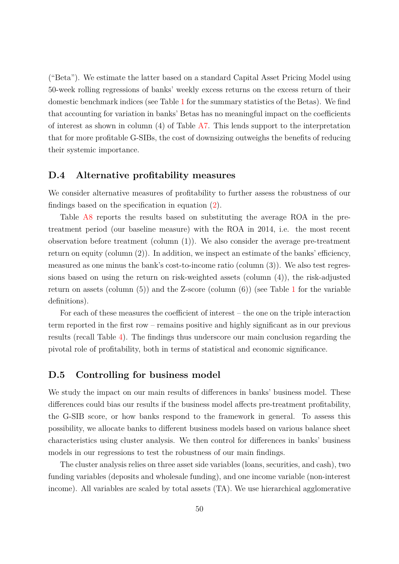("Beta"). We estimate the latter based on a standard Capital Asset Pricing Model using 50-week rolling regressions of banks' weekly excess returns on the excess return of their domestic benchmark indices (see Table [1](#page-12-0) for the summary statistics of the Betas). We find that accounting for variation in banks' Betas has no meaningful impact on the coefficients of interest as shown in column (4) of Table [A7.](#page-49-0) This lends support to the interpretation that for more profitable G-SIBs, the cost of downsizing outweighs the benefits of reducing their systemic importance.

#### <span id="page-50-0"></span>**D.4 Alternative profitability measures**

We consider alternative measures of profitability to further assess the robustness of our findings based on the specification in equation [\(2\)](#page-16-0).

Table [A8](#page-51-0) reports the results based on substituting the average ROA in the pretreatment period (our baseline measure) with the ROA in 2014, i.e. the most recent observation before treatment (column (1)). We also consider the average pre-treatment return on equity (column (2)). In addition, we inspect an estimate of the banks' efficiency, measured as one minus the bank's cost-to-income ratio (column (3)). We also test regressions based on using the return on risk-weighted assets (column (4)), the risk-adjusted return on assets (column  $(5)$ ) and the Z-score (column  $(6)$ ) (see Table [1](#page-12-0) for the variable definitions).

For each of these measures the coefficient of interest – the one on the triple interaction term reported in the first row – remains positive and highly significant as in our previous results (recall Table [4\)](#page-22-0). The findings thus underscore our main conclusion regarding the pivotal role of profitability, both in terms of statistical and economic significance.

#### <span id="page-50-1"></span>**D.5 Controlling for business model**

We study the impact on our main results of differences in banks' business model. These differences could bias our results if the business model affects pre-treatment profitability, the G-SIB score, or how banks respond to the framework in general. To assess this possibility, we allocate banks to different business models based on various balance sheet characteristics using cluster analysis. We then control for differences in banks' business models in our regressions to test the robustness of our main findings.

The cluster analysis relies on three asset side variables (loans, securities, and cash), two funding variables (deposits and wholesale funding), and one income variable (non-interest income). All variables are scaled by total assets (TA). We use hierarchical agglomerative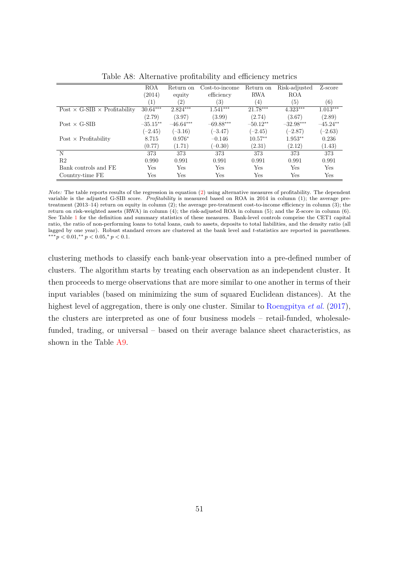<span id="page-51-0"></span>

|                                            | ROA              | Return on   | Cost-to-income | Return on  | Risk-adjusted | Z-score    |
|--------------------------------------------|------------------|-------------|----------------|------------|---------------|------------|
|                                            | (2014)           | equity      | efficiency     | <b>RWA</b> | <b>ROA</b>    |            |
|                                            | $\left(1\right)$ | (2)         | (3)            | (4)        | (5)           | (6)        |
| Post $\times$ G-SIB $\times$ Profitability | $30.64***$       | $2.824***$  | $1.541***$     | 21.78***   | $4.323***$    | $1.013***$ |
|                                            | (2.79)           | (3.97)      | (3.99)         | (2.74)     | (3.67)        | (2.89)     |
| $Post \times G-SIB$                        | $-35.15**$       | $-46.64***$ | $-69.88***$    | $-50.12**$ | $-32.98***$   | $-45.24**$ |
|                                            | $(-2.45)$        | $(-3.16)$   | $(-3.47)$      | $(-2.45)$  | $(-2.87)$     | $(-2.63)$  |
| Post $\times$ Profitability                | 8.715            | $0.976*$    | $-0.146$       | $10.57**$  | $1.953**$     | 0.236      |
|                                            | (0.77)           | (1.71)      | $(-0.30)$      | (2.31)     | (2.12)        | (1.43)     |
| N                                          | 373              | 373         | 373            | 373        | 373           | 373        |
| R <sub>2</sub>                             | 0.990            | 0.991       | 0.991          | 0.991      | 0.991         | 0.991      |
| Bank controls and FE                       | Yes              | Yes         | Yes            | Yes        | Yes           | Yes        |
| Country-time FE                            | Yes              | Yes         | Yes            | Yes        | Yes           | Yes        |

Table A8: Alternative profitability and efficiency metrics

*Note:* The table reports results of the regression in equation [\(2\)](#page-16-0) using alternative measures of profitability. The dependent variable is the adjusted G-SIB score. *Profitability* is measured based on ROA in 2014 in column (1); the average pretreatment (2013–14) return on equity in column (2); the average pre-treatment cost-to-income efficiency in column (3); the return on risk-weighted assets (RWA) in column (4); the risk-adjusted ROA in column (5); and the Z-score in column (6). See Table [1](#page-12-0) for the definition and summary statistics of these measures. Bank-level controls comprise the CET1 capital ratio, the ratio of non-performing loans to total loans, cash to assets, deposits to total liabilities, and the density ratio (all lagged by one year). Robust standard errors are clustered at the bank level and *t*-statistics are reported in parentheses. ∗∗∗*p <* 0*.*01*,* ∗∗ *p <* 0*.*05*,* <sup>∗</sup> *p <* 0*.*1.

clustering methods to classify each bank-year observation into a pre-defined number of clusters. The algorithm starts by treating each observation as an independent cluster. It then proceeds to merge observations that are more similar to one another in terms of their input variables (based on minimizing the sum of squared Euclidean distances). At the highest level of aggregation, there is only one cluster. Similar to [Roengpitya](#page-55-8) *et al.* [\(2017\)](#page-55-8), the clusters are interpreted as one of four business models – retail-funded, wholesalefunded, trading, or universal – based on their average balance sheet characteristics, as shown in the Table [A9.](#page-52-0)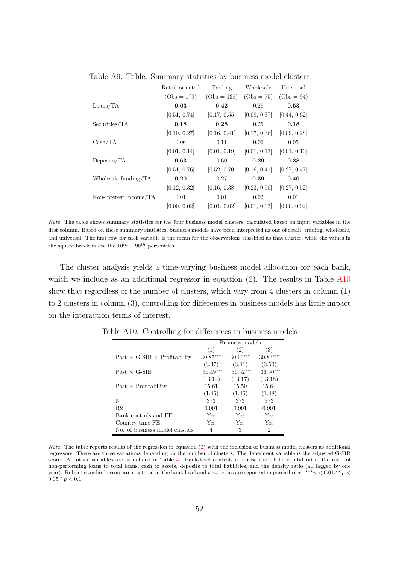|                          | Retail-oriented | Trading       | Wholesale    | Universal    |
|--------------------------|-----------------|---------------|--------------|--------------|
|                          | $(Obs = 179)$   | $(Obs = 138)$ | $(Obs = 75)$ | $(Obs = 94)$ |
| $\text{Loans}/\text{TA}$ | 0.63            | 0.42          | 0.28         | 0.53         |
|                          | [0.51, 0.74]    | [0.17, 0.55]  | [0.09, 0.37] | [0.44, 0.62] |
| Securities/TA            | 0.18            | 0.28          | 0.25         | 0.18         |
|                          | [0.10, 0.27]    | [0.16, 0.41]  | [0.17, 0.36] | [0.09, 0.28] |
| Cash/TA                  | 0.06            | 0.11          | 0.06         | 0.05         |
|                          | [0.01, 0.14]    | [0.01, 0.19]  | [0.01, 0.13] | [0.01, 0.10] |
| Deposits/TA              | 0.63            | 0.60          | 0.29         | 0.38         |
|                          | [0.51, 0.76]    | [0.52, 0.70]  | [0.16, 0.41] | [0.27, 0.47] |
| Wholesale funding/TA     | 0.20            | 0.27          | 0.39         | 0.40         |
|                          | [0.12, 0.32]    | [0.16, 0.38]  | [0.23, 0.50] | [0.27, 0.52] |
| Non-interest income/TA   | 0.01            | 0.01          | 0.02         | 0.01         |
|                          | [0.00, 0.02]    | [0.01, 0.02]  | [0.01, 0.03] | [0.00, 0.02] |

<span id="page-52-0"></span>Table A9: Table: Summary statistics by business model clusters

*Note*: The table shows summary statistics for the four business model clusters, calculated based on input variables in the first column. Based on these summary statistics, business models have been interpreted as one of retail, trading, wholesale, and universal. The first row for each variable is the mean for the observations classified as that cluster, while the values in the square brackets are the  $10^{th} - 90^{th}$  percentiles.

The cluster analysis yields a time-varying business model allocation for each bank, which we include as an additional regressor in equation  $(2)$ . The results in Table [A10](#page-52-1) show that regardless of the number of clusters, which vary from 4 clusters in column (1) to 2 clusters in column (3), controlling for differences in business models has little impact on the interaction terms of interest.

|                                            | Business models |             |             |  |  |  |
|--------------------------------------------|-----------------|-------------|-------------|--|--|--|
|                                            | (1)             | 2)          | (3)         |  |  |  |
| Post $\times$ G-SIB $\times$ Profitability | $30.87***$      | $30.90***$  | $30.83***$  |  |  |  |
|                                            | (3.37)          | (3.41)      | (3.50)      |  |  |  |
| $Post \times G-SIB$                        | $-36.49***$     | $-36.52***$ | $-36.50***$ |  |  |  |
|                                            | $(-3.14)$       | $(-3.17)$   | $(-3.18)$   |  |  |  |
| $Post \times Profitability$                | 15.61           | 15.59       | 15.64       |  |  |  |
|                                            | (1.46)          | (1.46)      | (1.48)      |  |  |  |
| N                                          | 373             | 373         | 373         |  |  |  |
| R <sub>2</sub>                             | 0.991           | 0.991       | 0.991       |  |  |  |
| Bank controls and FE                       | Yes             | Yes         | Yes         |  |  |  |
| Country-time FE                            | Yes             | Yes         | Yes         |  |  |  |
| No. of business model clusters             | 4               | 3           | 2           |  |  |  |

<span id="page-52-1"></span>Table A10: Controlling for differences in business models

*Note*: The table reports results of the regression in equation [\(2\)](#page-16-0) with the inclusion of business model clusters as additional regressors. There are three variations depending on the number of clusters. The dependent variable is the adjusted G-SIB score. All other variables are as defined in Table [4.](#page-22-0) Bank-level controls comprise the CET1 capital ratio, the ratio of non-performing loans to total loans, cash to assets, deposits to total liabilities, and the density ratio (all lagged by one year). Robust standard errors are clustered at the bank level and *t*-statistics are reported in parentheses. ∗∗∗*p <* 0*.*01*,* ∗∗ *p <*  $0.05, p < 0.1.$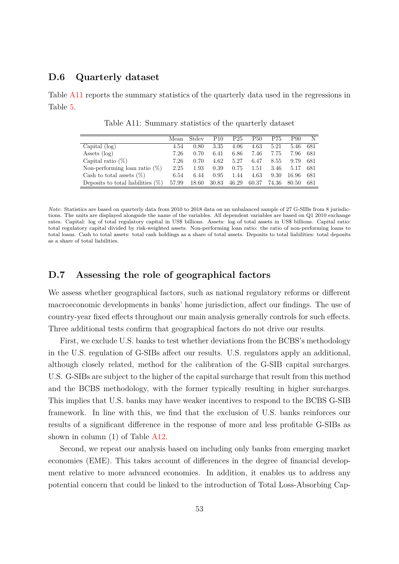#### <span id="page-53-0"></span>**D.6 Quarterly dataset**

<span id="page-53-2"></span>Table [A11](#page-53-2) reports the summary statistics of the quarterly data used in the regressions in Table [5.](#page-27-0)

|                                      | Mean  | Stdev | P <sub>10</sub> | P <sub>25</sub> | P50   | P75   | P90   | N    |
|--------------------------------------|-------|-------|-----------------|-----------------|-------|-------|-------|------|
| Capital $(\log)$                     | 4.54  | 0.80  | 3.35            | 4.06            | 4.63  | 5.21  | 5.46  | 681  |
| Assets $(\log)$                      | 7.26  | 0.70  | 6.41            | 6.86            | 7.46  | 7.75  | 7.96  | 681  |
| Capital ratio $(\%)$                 | 7.26  | 0.70  | 4.62            | 5.27            | 6.47  | 8.55  | 9.79  | 681  |
| Non-performing loan ratio $(\%)$     | 2.25  | 1.93  | 0.39            | 0.75            | 1.51  | 3.46  | 5.17  | 681  |
| Cash to total assets $(\%)$          | 6.54  | 6.44  | 0.95            | 1.44            | 4.63  | 9.30  | 16.96 | 681  |
| Deposits to total liabilities $(\%)$ | 57.99 | 18.60 | 30.83           | 46.29           | 60.37 | 74.36 | 80.50 | -681 |

Table A11: Summary statistics of the quarterly dataset

*Note*: Statistics are based on quarterly data from 2010 to 2018 data on an unbalanced sample of 27 G-SIBs from 8 jurisdictions. The units are displayed alongside the name of the variables. All dependent variables are based on Q1 2010 exchange rates. Capital: log of total regulatory capital in US\$ billions. Assets: log of total assets in US\$ billions. Capital ratio: total regulatory capital divided by risk-weighted assets. Non-performing loan ratio: the ratio of non-performing loans to total loans. Cash to total assets: total cash holdings as a share of total assets. Deposits to total liabilities: total deposits as a share of total liabilities.

#### <span id="page-53-1"></span>**D.7 Assessing the role of geographical factors**

We assess whether geographical factors, such as national regulatory reforms or different macroeconomic developments in banks' home jurisdiction, affect our findings. The use of country-year fixed effects throughout our main analysis generally controls for such effects. Three additional tests confirm that geographical factors do not drive our results.

First, we exclude U.S. banks to test whether deviations from the BCBS's methodology in the U.S. regulation of G-SIBs affect our results. U.S. regulators apply an additional, although closely related, method for the calibration of the G-SIB capital surcharges. U.S. G-SIBs are subject to the higher of the capital surcharge that result from this method and the BCBS methodology, with the former typically resulting in higher surcharges. This implies that U.S. banks may have weaker incentives to respond to the BCBS G-SIB framework. In line with this, we find that the exclusion of U.S. banks reinforces our results of a significant difference in the response of more and less profitable G-SIBs as shown in column (1) of Table [A12.](#page-54-0)

Second, we repeat our analysis based on including only banks from emerging market economies (EME). This takes account of differences in the degree of financial development relative to more advanced economies. In addition, it enables us to address any potential concern that could be linked to the introduction of Total Loss-Absorbing Cap-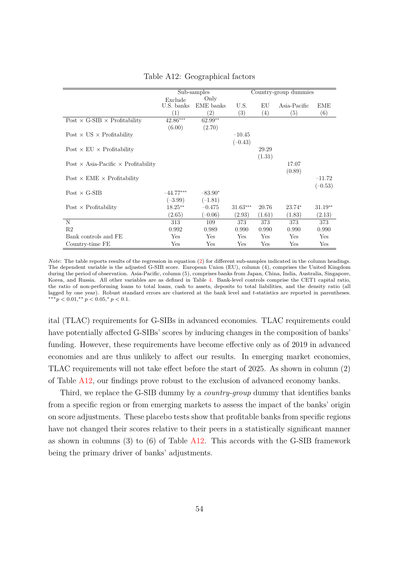<span id="page-54-0"></span>

|                                                   |                  | Sub-samples       | Country-group dummies |        |                   |            |
|---------------------------------------------------|------------------|-------------------|-----------------------|--------|-------------------|------------|
|                                                   | Exclude          | Only              |                       |        |                   |            |
|                                                   | U.S. banks       | EME banks         | U.S.                  | EU     | Asia-Pacific      | <b>EME</b> |
|                                                   | $\left(1\right)$ | $\left( 2\right)$ | (3)                   | (4)    | $\left( 5\right)$ | (6)        |
| Post $\times$ G-SIB $\times$ Profitability        | $42.86***$       | 62.99**           |                       |        |                   |            |
|                                                   | (6.00)           | (2.70)            |                       |        |                   |            |
| Post $\times$ US $\times$ Profitability           |                  |                   | $-10.45$              |        |                   |            |
|                                                   |                  |                   | $(-0.43)$             |        |                   |            |
| Post $\times$ EU $\times$ Profitability           |                  |                   |                       | 29.29  |                   |            |
|                                                   |                  |                   |                       | (1.31) |                   |            |
| Post $\times$ Asia-Pacific $\times$ Profitability |                  |                   |                       |        | 17.07             |            |
|                                                   |                  |                   |                       |        | (0.89)            |            |
| Post $\times$ EME $\times$ Profitability          |                  |                   |                       |        |                   | $-11.72$   |
|                                                   |                  |                   |                       |        |                   | $(-0.53)$  |
| $Post \times G-SIB$                               | $-44.77***$      | $-83.90*$         |                       |        |                   |            |
|                                                   | $(-3.99)$        | $(-1.81)$         |                       |        |                   |            |
| Post $\times$ Profitability                       | $18.25***$       | $-0.475$          | $31.63***$            | 20.76  | $23.74*$          | $31.19**$  |
|                                                   | (2.65)           | $(-0.06)$         | (2.93)                | (1.61) | (1.83)            | (2.13)     |
| N                                                 | 313              | 109               | 373                   | 373    | 373               | 373        |
| R2                                                | 0.992            | 0.989             | 0.990                 | 0.990  | 0.990             | 0.990      |
| Bank controls and FE                              | Yes              | Yes               | Yes                   | Yes    | Yes               | Yes        |
| Country-time FE                                   | Yes              | Yes               | Yes                   | Yes    | Yes               | Yes        |

#### Table A12: Geographical factors

*Note*: The table reports results of the regression in equation [\(2\)](#page-16-0) for different sub-samples indicated in the column headings. The dependent variable is the adjusted G-SIB score. European Union (EU), column (4), comprises the United Kingdom during the period of observation. Asia-Pacific, column (5), comprises banks from Japan, China, India, Australia, Singapore, Korea, and Russia. All other variables are as defined in Table [4.](#page-22-0) Bank-level controls comprise the CET1 capital ratio, the ratio of non-performing loans to total loans, cash to assets, deposits to total liabilities, and the density ratio (all lagged by one year). Robust standard errors are clustered at the bank level and *t*-statistics are reported in parentheses. ∗∗∗*p <* 0*.*01*,* ∗∗ *p <* 0*.*05*,* <sup>∗</sup> *p <* 0*.*1.

ital (TLAC) requirements for G-SIBs in advanced economies. TLAC requirements could have potentially affected G-SIBs' scores by inducing changes in the composition of banks' funding. However, these requirements have become effective only as of 2019 in advanced economies and are thus unlikely to affect our results. In emerging market economies, TLAC requirements will not take effect before the start of 2025. As shown in column (2) of Table [A12,](#page-54-0) our findings prove robust to the exclusion of advanced economy banks.

Third, we replace the G-SIB dummy by a *country-group* dummy that identifies banks from a specific region or from emerging markets to assess the impact of the banks' origin on score adjustments. These placebo tests show that profitable banks from specific regions have not changed their scores relative to their peers in a statistically significant manner as shown in columns  $(3)$  to  $(6)$  of Table [A12.](#page-54-0) This accords with the G-SIB framework being the primary driver of banks' adjustments.